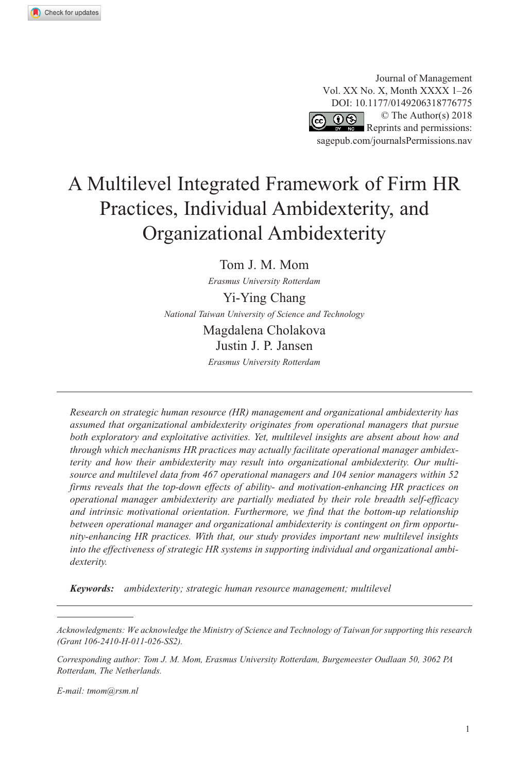Journal of Management Vol. XX No. X, Month XXXX 1–26 DOI: 10.1177/0149206318776775 © The Author(s) 2018  $\circledcirc$  ග Reprints and permissions: [sagepub.com/journalsPermissions.nav](https://us.sagepub.com/en-us/journals-permissions)

# A Multilevel Integrated Framework of Firm HR Practices, Individual Ambidexterity, and Organizational Ambidexterity

Tom J. M. Mom

*Erasmus University Rotterdam*

Yi-Ying Chang *National Taiwan University of Science and Technology*

> Magdalena Cholakova Justin J. P. Jansen

*Erasmus University Rotterdam*

*Research on strategic human resource (HR) management and organizational ambidexterity has assumed that organizational ambidexterity originates from operational managers that pursue both exploratory and exploitative activities. Yet, multilevel insights are absent about how and through which mechanisms HR practices may actually facilitate operational manager ambidexterity and how their ambidexterity may result into organizational ambidexterity. Our multisource and multilevel data from 467 operational managers and 104 senior managers within 52 firms reveals that the top-down effects of ability- and motivation-enhancing HR practices on operational manager ambidexterity are partially mediated by their role breadth self-efficacy and intrinsic motivational orientation. Furthermore, we find that the bottom-up relationship between operational manager and organizational ambidexterity is contingent on firm opportunity-enhancing HR practices. With that, our study provides important new multilevel insights into the effectiveness of strategic HR systems in supporting individual and organizational ambidexterity.*

*Keywords: ambidexterity; strategic human resource management; multilevel*

*E-mail: [tmom@rsm.nl](mailto:tmom@rsm.nl)*

*Acknowledgments: We acknowledge the Ministry of Science and Technology of Taiwan for supporting this research (Grant 106-2410-H-011-026-SS2).*

*Corresponding author: Tom J. M. Mom, Erasmus University Rotterdam, Burgemeester Oudlaan 50, 3062 PA Rotterdam, The Netherlands.*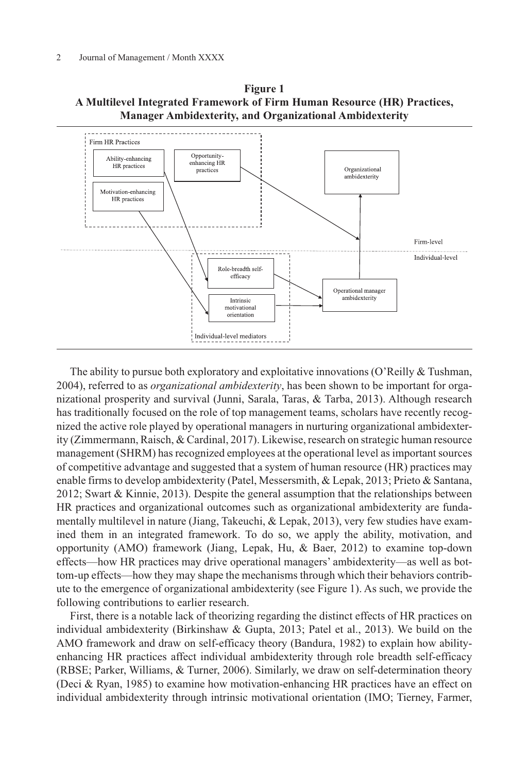

**Figure 1 A Multilevel Integrated Framework of Firm Human Resource (HR) Practices, Manager Ambidexterity, and Organizational Ambidexterity**

The ability to pursue both exploratory and exploitative innovations (O'Reilly & Tushman, 2004), referred to as *organizational ambidexterity*, has been shown to be important for organizational prosperity and survival (Junni, Sarala, Taras, & Tarba, 2013). Although research has traditionally focused on the role of top management teams, scholars have recently recognized the active role played by operational managers in nurturing organizational ambidexterity (Zimmermann, Raisch, & Cardinal, 2017). Likewise, research on strategic human resource management (SHRM) has recognized employees at the operational level as important sources of competitive advantage and suggested that a system of human resource (HR) practices may enable firms to develop ambidexterity (Patel, Messersmith, & Lepak, 2013; Prieto & Santana, 2012; Swart & Kinnie, 2013). Despite the general assumption that the relationships between HR practices and organizational outcomes such as organizational ambidexterity are fundamentally multilevel in nature (Jiang, Takeuchi, & Lepak, 2013), very few studies have examined them in an integrated framework. To do so, we apply the ability, motivation, and opportunity (AMO) framework (Jiang, Lepak, Hu, & Baer, 2012) to examine top-down effects—how HR practices may drive operational managers' ambidexterity—as well as bottom-up effects—how they may shape the mechanisms through which their behaviors contribute to the emergence of organizational ambidexterity (see Figure 1). As such, we provide the following contributions to earlier research.

First, there is a notable lack of theorizing regarding the distinct effects of HR practices on individual ambidexterity (Birkinshaw & Gupta, 2013; Patel et al., 2013). We build on the AMO framework and draw on self-efficacy theory (Bandura, 1982) to explain how abilityenhancing HR practices affect individual ambidexterity through role breadth self-efficacy (RBSE; Parker, Williams, & Turner, 2006). Similarly, we draw on self-determination theory (Deci & Ryan, 1985) to examine how motivation-enhancing HR practices have an effect on individual ambidexterity through intrinsic motivational orientation (IMO; Tierney, Farmer,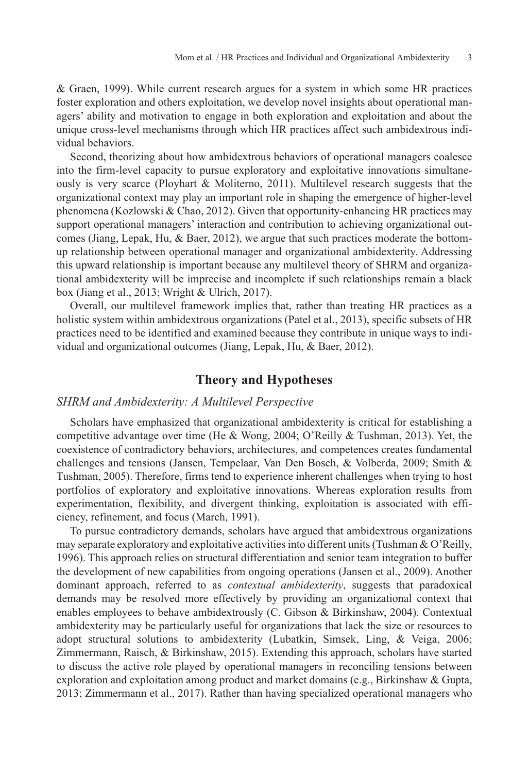& Graen, 1999). While current research argues for a system in which some HR practices foster exploration and others exploitation, we develop novel insights about operational managers' ability and motivation to engage in both exploration and exploitation and about the unique cross-level mechanisms through which HR practices affect such ambidextrous individual behaviors.

Second, theorizing about how ambidextrous behaviors of operational managers coalesce into the firm-level capacity to pursue exploratory and exploitative innovations simultaneously is very scarce (Ployhart & Moliterno, 2011). Multilevel research suggests that the organizational context may play an important role in shaping the emergence of higher-level phenomena (Kozlowski & Chao, 2012). Given that opportunity-enhancing HR practices may support operational managers' interaction and contribution to achieving organizational outcomes (Jiang, Lepak, Hu, & Baer, 2012), we argue that such practices moderate the bottomup relationship between operational manager and organizational ambidexterity. Addressing this upward relationship is important because any multilevel theory of SHRM and organizational ambidexterity will be imprecise and incomplete if such relationships remain a black box (Jiang et al., 2013; Wright & Ulrich, 2017).

Overall, our multilevel framework implies that, rather than treating HR practices as a holistic system within ambidextrous organizations (Patel et al., 2013), specific subsets of HR practices need to be identified and examined because they contribute in unique ways to individual and organizational outcomes (Jiang, Lepak, Hu, & Baer, 2012).

# **Theory and Hypotheses**

# *SHRM and Ambidexterity: A Multilevel Perspective*

Scholars have emphasized that organizational ambidexterity is critical for establishing a competitive advantage over time (He & Wong, 2004; O'Reilly & Tushman, 2013). Yet, the coexistence of contradictory behaviors, architectures, and competences creates fundamental challenges and tensions (Jansen, Tempelaar, Van Den Bosch, & Volberda, 2009; Smith & Tushman, 2005). Therefore, firms tend to experience inherent challenges when trying to host portfolios of exploratory and exploitative innovations. Whereas exploration results from experimentation, flexibility, and divergent thinking, exploitation is associated with efficiency, refinement, and focus (March, 1991).

To pursue contradictory demands, scholars have argued that ambidextrous organizations may separate exploratory and exploitative activities into different units (Tushman & O'Reilly, 1996). This approach relies on structural differentiation and senior team integration to buffer the development of new capabilities from ongoing operations (Jansen et al., 2009). Another dominant approach, referred to as *contextual ambidexterity*, suggests that paradoxical demands may be resolved more effectively by providing an organizational context that enables employees to behave ambidextrously (C. Gibson & Birkinshaw, 2004). Contextual ambidexterity may be particularly useful for organizations that lack the size or resources to adopt structural solutions to ambidexterity (Lubatkin, Simsek, Ling, & Veiga, 2006; Zimmermann, Raisch, & Birkinshaw, 2015). Extending this approach, scholars have started to discuss the active role played by operational managers in reconciling tensions between exploration and exploitation among product and market domains (e.g., Birkinshaw & Gupta, 2013; Zimmermann et al., 2017). Rather than having specialized operational managers who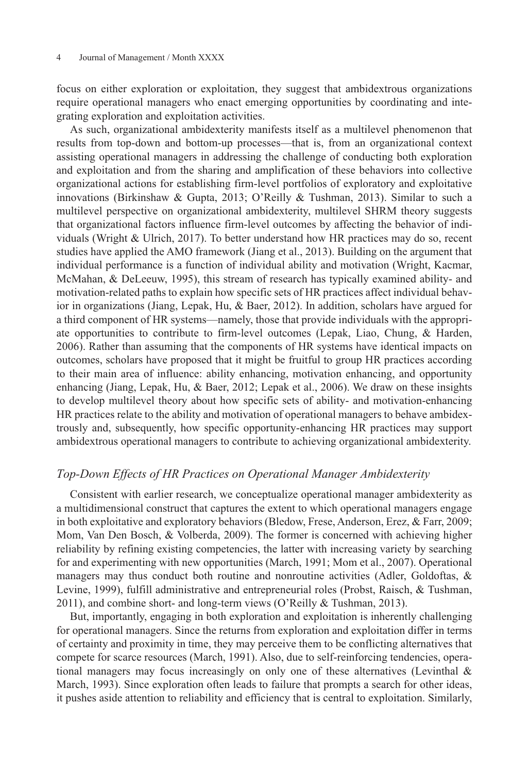focus on either exploration or exploitation, they suggest that ambidextrous organizations require operational managers who enact emerging opportunities by coordinating and integrating exploration and exploitation activities.

As such, organizational ambidexterity manifests itself as a multilevel phenomenon that results from top-down and bottom-up processes—that is, from an organizational context assisting operational managers in addressing the challenge of conducting both exploration and exploitation and from the sharing and amplification of these behaviors into collective organizational actions for establishing firm-level portfolios of exploratory and exploitative innovations (Birkinshaw & Gupta, 2013; O'Reilly & Tushman, 2013). Similar to such a multilevel perspective on organizational ambidexterity, multilevel SHRM theory suggests that organizational factors influence firm-level outcomes by affecting the behavior of individuals (Wright & Ulrich, 2017). To better understand how HR practices may do so, recent studies have applied the AMO framework (Jiang et al., 2013). Building on the argument that individual performance is a function of individual ability and motivation (Wright, Kacmar, McMahan, & DeLeeuw, 1995), this stream of research has typically examined ability- and motivation-related paths to explain how specific sets of HR practices affect individual behavior in organizations (Jiang, Lepak, Hu, & Baer, 2012). In addition, scholars have argued for a third component of HR systems—namely, those that provide individuals with the appropriate opportunities to contribute to firm-level outcomes (Lepak, Liao, Chung, & Harden, 2006). Rather than assuming that the components of HR systems have identical impacts on outcomes, scholars have proposed that it might be fruitful to group HR practices according to their main area of influence: ability enhancing, motivation enhancing, and opportunity enhancing (Jiang, Lepak, Hu, & Baer, 2012; Lepak et al., 2006). We draw on these insights to develop multilevel theory about how specific sets of ability- and motivation-enhancing HR practices relate to the ability and motivation of operational managers to behave ambidextrously and, subsequently, how specific opportunity-enhancing HR practices may support ambidextrous operational managers to contribute to achieving organizational ambidexterity.

### *Top-Down Effects of HR Practices on Operational Manager Ambidexterity*

Consistent with earlier research, we conceptualize operational manager ambidexterity as a multidimensional construct that captures the extent to which operational managers engage in both exploitative and exploratory behaviors (Bledow, Frese, Anderson, Erez, & Farr, 2009; Mom, Van Den Bosch, & Volberda, 2009). The former is concerned with achieving higher reliability by refining existing competencies, the latter with increasing variety by searching for and experimenting with new opportunities (March, 1991; Mom et al., 2007). Operational managers may thus conduct both routine and nonroutine activities (Adler, Goldoftas, & Levine, 1999), fulfill administrative and entrepreneurial roles (Probst, Raisch, & Tushman, 2011), and combine short- and long-term views (O'Reilly & Tushman, 2013).

But, importantly, engaging in both exploration and exploitation is inherently challenging for operational managers. Since the returns from exploration and exploitation differ in terms of certainty and proximity in time, they may perceive them to be conflicting alternatives that compete for scarce resources (March, 1991). Also, due to self-reinforcing tendencies, operational managers may focus increasingly on only one of these alternatives (Levinthal  $\&$ March, 1993). Since exploration often leads to failure that prompts a search for other ideas, it pushes aside attention to reliability and efficiency that is central to exploitation. Similarly,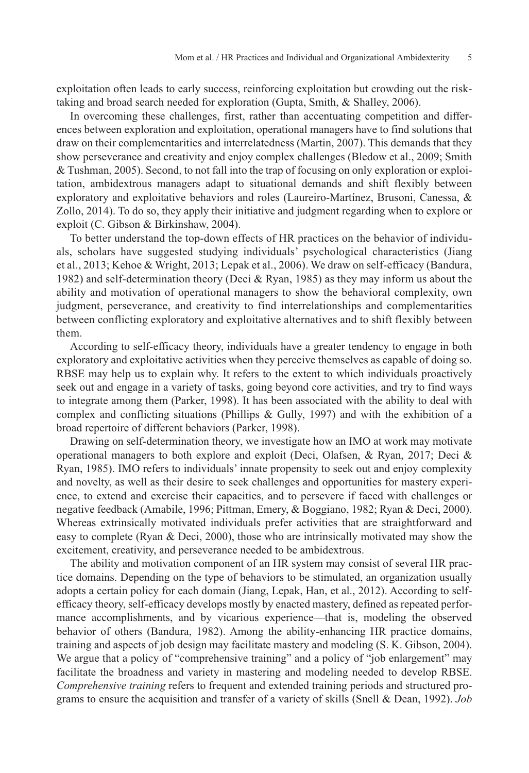exploitation often leads to early success, reinforcing exploitation but crowding out the risktaking and broad search needed for exploration (Gupta, Smith, & Shalley, 2006).

In overcoming these challenges, first, rather than accentuating competition and differences between exploration and exploitation, operational managers have to find solutions that draw on their complementarities and interrelatedness (Martin, 2007). This demands that they show perseverance and creativity and enjoy complex challenges (Bledow et al., 2009; Smith & Tushman, 2005). Second, to not fall into the trap of focusing on only exploration or exploitation, ambidextrous managers adapt to situational demands and shift flexibly between exploratory and exploitative behaviors and roles (Laureiro-Martínez, Brusoni, Canessa, & Zollo, 2014). To do so, they apply their initiative and judgment regarding when to explore or exploit (C. Gibson & Birkinshaw, 2004).

To better understand the top-down effects of HR practices on the behavior of individuals, scholars have suggested studying individuals' psychological characteristics (Jiang et al., 2013; Kehoe & Wright, 2013; Lepak et al., 2006). We draw on self-efficacy (Bandura, 1982) and self-determination theory (Deci & Ryan, 1985) as they may inform us about the ability and motivation of operational managers to show the behavioral complexity, own judgment, perseverance, and creativity to find interrelationships and complementarities between conflicting exploratory and exploitative alternatives and to shift flexibly between them.

According to self-efficacy theory, individuals have a greater tendency to engage in both exploratory and exploitative activities when they perceive themselves as capable of doing so. RBSE may help us to explain why. It refers to the extent to which individuals proactively seek out and engage in a variety of tasks, going beyond core activities, and try to find ways to integrate among them (Parker, 1998). It has been associated with the ability to deal with complex and conflicting situations (Phillips & Gully, 1997) and with the exhibition of a broad repertoire of different behaviors (Parker, 1998).

Drawing on self-determination theory, we investigate how an IMO at work may motivate operational managers to both explore and exploit (Deci, Olafsen, & Ryan, 2017; Deci & Ryan, 1985). IMO refers to individuals' innate propensity to seek out and enjoy complexity and novelty, as well as their desire to seek challenges and opportunities for mastery experience, to extend and exercise their capacities, and to persevere if faced with challenges or negative feedback (Amabile, 1996; Pittman, Emery, & Boggiano, 1982; Ryan & Deci, 2000). Whereas extrinsically motivated individuals prefer activities that are straightforward and easy to complete (Ryan & Deci, 2000), those who are intrinsically motivated may show the excitement, creativity, and perseverance needed to be ambidextrous.

The ability and motivation component of an HR system may consist of several HR practice domains. Depending on the type of behaviors to be stimulated, an organization usually adopts a certain policy for each domain (Jiang, Lepak, Han, et al., 2012). According to selfefficacy theory, self-efficacy develops mostly by enacted mastery, defined as repeated performance accomplishments, and by vicarious experience—that is, modeling the observed behavior of others (Bandura, 1982). Among the ability-enhancing HR practice domains, training and aspects of job design may facilitate mastery and modeling (S. K. Gibson, 2004). We argue that a policy of "comprehensive training" and a policy of "job enlargement" may facilitate the broadness and variety in mastering and modeling needed to develop RBSE. *Comprehensive training* refers to frequent and extended training periods and structured programs to ensure the acquisition and transfer of a variety of skills (Snell & Dean, 1992). *Job*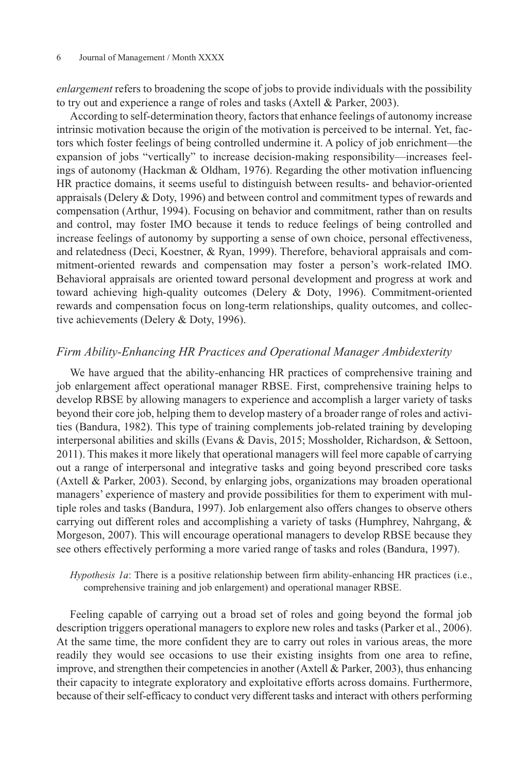*enlargement* refers to broadening the scope of jobs to provide individuals with the possibility to try out and experience a range of roles and tasks (Axtell & Parker, 2003).

According to self-determination theory, factors that enhance feelings of autonomy increase intrinsic motivation because the origin of the motivation is perceived to be internal. Yet, factors which foster feelings of being controlled undermine it. A policy of job enrichment—the expansion of jobs "vertically" to increase decision-making responsibility—increases feelings of autonomy (Hackman & Oldham, 1976). Regarding the other motivation influencing HR practice domains, it seems useful to distinguish between results- and behavior-oriented appraisals (Delery & Doty, 1996) and between control and commitment types of rewards and compensation (Arthur, 1994). Focusing on behavior and commitment, rather than on results and control, may foster IMO because it tends to reduce feelings of being controlled and increase feelings of autonomy by supporting a sense of own choice, personal effectiveness, and relatedness (Deci, Koestner, & Ryan, 1999). Therefore, behavioral appraisals and commitment-oriented rewards and compensation may foster a person's work-related IMO. Behavioral appraisals are oriented toward personal development and progress at work and toward achieving high-quality outcomes (Delery & Doty, 1996). Commitment-oriented rewards and compensation focus on long-term relationships, quality outcomes, and collective achievements (Delery & Doty, 1996).

### *Firm Ability-Enhancing HR Practices and Operational Manager Ambidexterity*

We have argued that the ability-enhancing HR practices of comprehensive training and job enlargement affect operational manager RBSE. First, comprehensive training helps to develop RBSE by allowing managers to experience and accomplish a larger variety of tasks beyond their core job, helping them to develop mastery of a broader range of roles and activities (Bandura, 1982). This type of training complements job-related training by developing interpersonal abilities and skills (Evans & Davis, 2015; Mossholder, Richardson, & Settoon, 2011). This makes it more likely that operational managers will feel more capable of carrying out a range of interpersonal and integrative tasks and going beyond prescribed core tasks (Axtell & Parker, 2003). Second, by enlarging jobs, organizations may broaden operational managers' experience of mastery and provide possibilities for them to experiment with multiple roles and tasks (Bandura, 1997). Job enlargement also offers changes to observe others carrying out different roles and accomplishing a variety of tasks (Humphrey, Nahrgang, & Morgeson, 2007). This will encourage operational managers to develop RBSE because they see others effectively performing a more varied range of tasks and roles (Bandura, 1997).

*Hypothesis 1a*: There is a positive relationship between firm ability-enhancing HR practices (i.e., comprehensive training and job enlargement) and operational manager RBSE.

Feeling capable of carrying out a broad set of roles and going beyond the formal job description triggers operational managers to explore new roles and tasks (Parker et al., 2006). At the same time, the more confident they are to carry out roles in various areas, the more readily they would see occasions to use their existing insights from one area to refine, improve, and strengthen their competencies in another (Axtell & Parker, 2003), thus enhancing their capacity to integrate exploratory and exploitative efforts across domains. Furthermore, because of their self-efficacy to conduct very different tasks and interact with others performing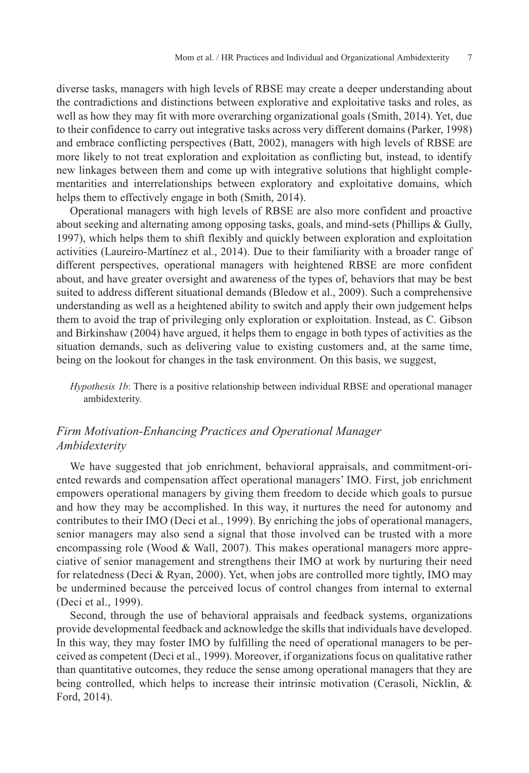diverse tasks, managers with high levels of RBSE may create a deeper understanding about the contradictions and distinctions between explorative and exploitative tasks and roles, as well as how they may fit with more overarching organizational goals (Smith, 2014). Yet, due to their confidence to carry out integrative tasks across very different domains (Parker, 1998) and embrace conflicting perspectives (Batt, 2002), managers with high levels of RBSE are more likely to not treat exploration and exploitation as conflicting but, instead, to identify new linkages between them and come up with integrative solutions that highlight complementarities and interrelationships between exploratory and exploitative domains, which helps them to effectively engage in both (Smith, 2014).

Operational managers with high levels of RBSE are also more confident and proactive about seeking and alternating among opposing tasks, goals, and mind-sets (Phillips & Gully, 1997), which helps them to shift flexibly and quickly between exploration and exploitation activities (Laureiro-Martínez et al., 2014). Due to their familiarity with a broader range of different perspectives, operational managers with heightened RBSE are more confident about, and have greater oversight and awareness of the types of, behaviors that may be best suited to address different situational demands (Bledow et al., 2009). Such a comprehensive understanding as well as a heightened ability to switch and apply their own judgement helps them to avoid the trap of privileging only exploration or exploitation. Instead, as C. Gibson and Birkinshaw (2004) have argued, it helps them to engage in both types of activities as the situation demands, such as delivering value to existing customers and, at the same time, being on the lookout for changes in the task environment. On this basis, we suggest,

*Hypothesis 1b*: There is a positive relationship between individual RBSE and operational manager ambidexterity.

# *Firm Motivation-Enhancing Practices and Operational Manager Ambidexterity*

We have suggested that job enrichment, behavioral appraisals, and commitment-oriented rewards and compensation affect operational managers' IMO. First, job enrichment empowers operational managers by giving them freedom to decide which goals to pursue and how they may be accomplished. In this way, it nurtures the need for autonomy and contributes to their IMO (Deci et al., 1999). By enriching the jobs of operational managers, senior managers may also send a signal that those involved can be trusted with a more encompassing role (Wood  $&$  Wall, 2007). This makes operational managers more appreciative of senior management and strengthens their IMO at work by nurturing their need for relatedness (Deci & Ryan, 2000). Yet, when jobs are controlled more tightly, IMO may be undermined because the perceived locus of control changes from internal to external (Deci et al., 1999).

Second, through the use of behavioral appraisals and feedback systems, organizations provide developmental feedback and acknowledge the skills that individuals have developed. In this way, they may foster IMO by fulfilling the need of operational managers to be perceived as competent (Deci et al., 1999). Moreover, if organizations focus on qualitative rather than quantitative outcomes, they reduce the sense among operational managers that they are being controlled, which helps to increase their intrinsic motivation (Cerasoli, Nicklin, & Ford, 2014).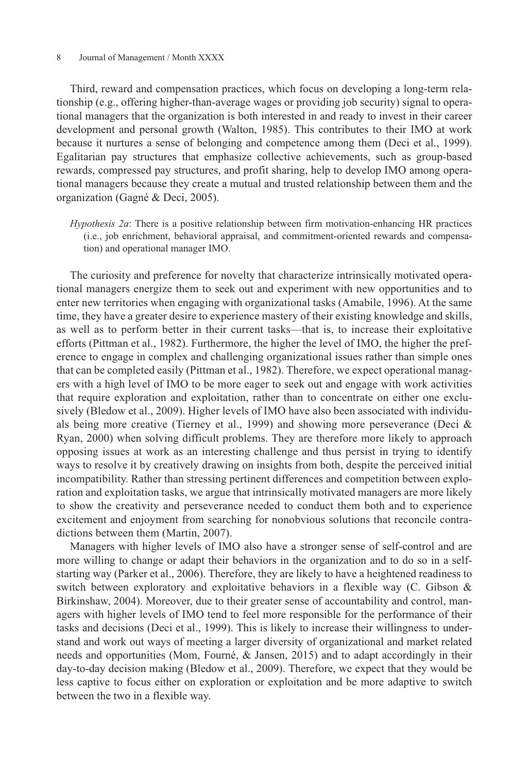#### 8 Journal of Management / Month XXXX

Third, reward and compensation practices, which focus on developing a long-term relationship (e.g., offering higher-than-average wages or providing job security) signal to operational managers that the organization is both interested in and ready to invest in their career development and personal growth (Walton, 1985). This contributes to their IMO at work because it nurtures a sense of belonging and competence among them (Deci et al., 1999). Egalitarian pay structures that emphasize collective achievements, such as group-based rewards, compressed pay structures, and profit sharing, help to develop IMO among operational managers because they create a mutual and trusted relationship between them and the organization (Gagné & Deci, 2005).

*Hypothesis 2a*: There is a positive relationship between firm motivation-enhancing HR practices (i.e., job enrichment, behavioral appraisal, and commitment-oriented rewards and compensation) and operational manager IMO.

The curiosity and preference for novelty that characterize intrinsically motivated operational managers energize them to seek out and experiment with new opportunities and to enter new territories when engaging with organizational tasks (Amabile, 1996). At the same time, they have a greater desire to experience mastery of their existing knowledge and skills, as well as to perform better in their current tasks—that is, to increase their exploitative efforts (Pittman et al., 1982). Furthermore, the higher the level of IMO, the higher the preference to engage in complex and challenging organizational issues rather than simple ones that can be completed easily (Pittman et al., 1982). Therefore, we expect operational managers with a high level of IMO to be more eager to seek out and engage with work activities that require exploration and exploitation, rather than to concentrate on either one exclusively (Bledow et al., 2009). Higher levels of IMO have also been associated with individuals being more creative (Tierney et al., 1999) and showing more perseverance (Deci  $\&$ Ryan, 2000) when solving difficult problems. They are therefore more likely to approach opposing issues at work as an interesting challenge and thus persist in trying to identify ways to resolve it by creatively drawing on insights from both, despite the perceived initial incompatibility. Rather than stressing pertinent differences and competition between exploration and exploitation tasks, we argue that intrinsically motivated managers are more likely to show the creativity and perseverance needed to conduct them both and to experience excitement and enjoyment from searching for nonobvious solutions that reconcile contradictions between them (Martin, 2007).

Managers with higher levels of IMO also have a stronger sense of self-control and are more willing to change or adapt their behaviors in the organization and to do so in a selfstarting way (Parker et al., 2006). Therefore, they are likely to have a heightened readiness to switch between exploratory and exploitative behaviors in a flexible way (C. Gibson & Birkinshaw, 2004). Moreover, due to their greater sense of accountability and control, managers with higher levels of IMO tend to feel more responsible for the performance of their tasks and decisions (Deci et al., 1999). This is likely to increase their willingness to understand and work out ways of meeting a larger diversity of organizational and market related needs and opportunities (Mom, Fourné, & Jansen, 2015) and to adapt accordingly in their day-to-day decision making (Bledow et al., 2009). Therefore, we expect that they would be less captive to focus either on exploration or exploitation and be more adaptive to switch between the two in a flexible way.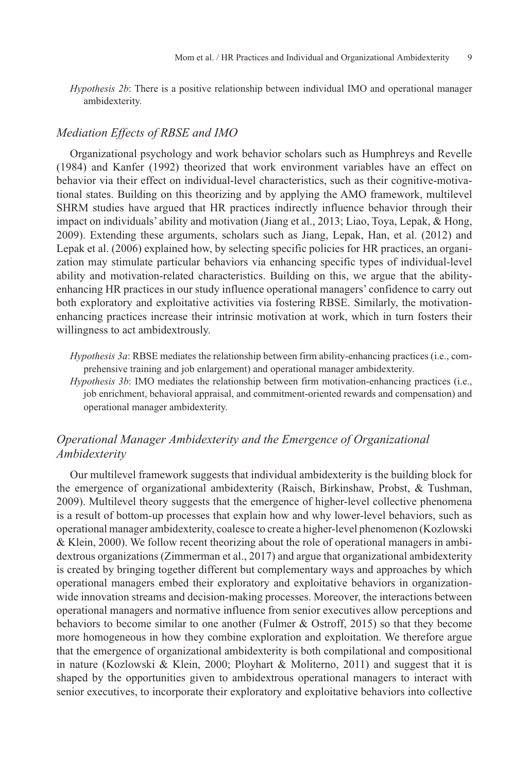*Hypothesis 2b*: There is a positive relationship between individual IMO and operational manager ambidexterity.

### *Mediation Effects of RBSE and IMO*

Organizational psychology and work behavior scholars such as Humphreys and Revelle (1984) and Kanfer (1992) theorized that work environment variables have an effect on behavior via their effect on individual-level characteristics, such as their cognitive-motivational states. Building on this theorizing and by applying the AMO framework, multilevel SHRM studies have argued that HR practices indirectly influence behavior through their impact on individuals' ability and motivation (Jiang et al., 2013; Liao, Toya, Lepak, & Hong, 2009). Extending these arguments, scholars such as Jiang, Lepak, Han, et al. (2012) and Lepak et al. (2006) explained how, by selecting specific policies for HR practices, an organization may stimulate particular behaviors via enhancing specific types of individual-level ability and motivation-related characteristics. Building on this, we argue that the abilityenhancing HR practices in our study influence operational managers' confidence to carry out both exploratory and exploitative activities via fostering RBSE. Similarly, the motivationenhancing practices increase their intrinsic motivation at work, which in turn fosters their willingness to act ambidextrously.

*Hypothesis 3a*: RBSE mediates the relationship between firm ability-enhancing practices (i.e., comprehensive training and job enlargement) and operational manager ambidexterity.

*Hypothesis 3b*: IMO mediates the relationship between firm motivation-enhancing practices (i.e., job enrichment, behavioral appraisal, and commitment-oriented rewards and compensation) and operational manager ambidexterity.

# *Operational Manager Ambidexterity and the Emergence of Organizational Ambidexterity*

Our multilevel framework suggests that individual ambidexterity is the building block for the emergence of organizational ambidexterity (Raisch, Birkinshaw, Probst, & Tushman, 2009). Multilevel theory suggests that the emergence of higher-level collective phenomena is a result of bottom-up processes that explain how and why lower-level behaviors, such as operational manager ambidexterity, coalesce to create a higher-level phenomenon (Kozlowski & Klein, 2000). We follow recent theorizing about the role of operational managers in ambidextrous organizations (Zimmerman et al., 2017) and argue that organizational ambidexterity is created by bringing together different but complementary ways and approaches by which operational managers embed their exploratory and exploitative behaviors in organizationwide innovation streams and decision-making processes. Moreover, the interactions between operational managers and normative influence from senior executives allow perceptions and behaviors to become similar to one another (Fulmer & Ostroff, 2015) so that they become more homogeneous in how they combine exploration and exploitation. We therefore argue that the emergence of organizational ambidexterity is both compilational and compositional in nature (Kozlowski & Klein, 2000; Ployhart & Moliterno, 2011) and suggest that it is shaped by the opportunities given to ambidextrous operational managers to interact with senior executives, to incorporate their exploratory and exploitative behaviors into collective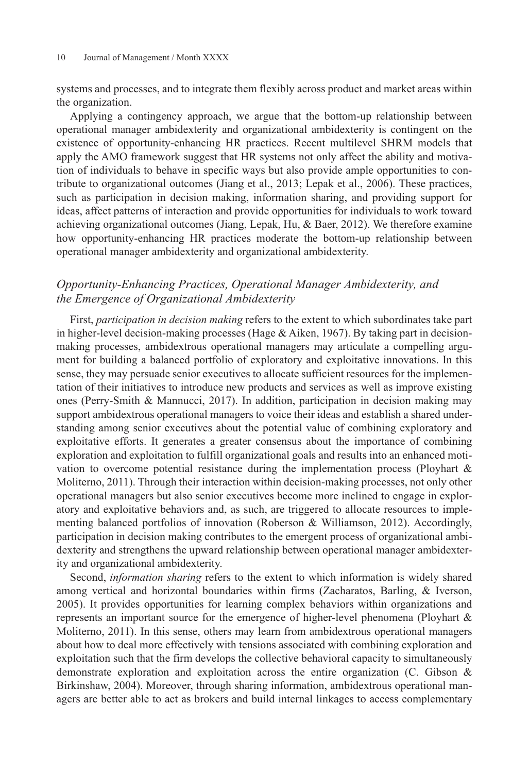systems and processes, and to integrate them flexibly across product and market areas within the organization.

Applying a contingency approach, we argue that the bottom-up relationship between operational manager ambidexterity and organizational ambidexterity is contingent on the existence of opportunity-enhancing HR practices. Recent multilevel SHRM models that apply the AMO framework suggest that HR systems not only affect the ability and motivation of individuals to behave in specific ways but also provide ample opportunities to contribute to organizational outcomes (Jiang et al., 2013; Lepak et al., 2006). These practices, such as participation in decision making, information sharing, and providing support for ideas, affect patterns of interaction and provide opportunities for individuals to work toward achieving organizational outcomes (Jiang, Lepak, Hu, & Baer, 2012). We therefore examine how opportunity-enhancing HR practices moderate the bottom-up relationship between operational manager ambidexterity and organizational ambidexterity.

# *Opportunity-Enhancing Practices, Operational Manager Ambidexterity, and the Emergence of Organizational Ambidexterity*

First, *participation in decision making* refers to the extent to which subordinates take part in higher-level decision-making processes (Hage  $&$  Aiken, 1967). By taking part in decisionmaking processes, ambidextrous operational managers may articulate a compelling argument for building a balanced portfolio of exploratory and exploitative innovations. In this sense, they may persuade senior executives to allocate sufficient resources for the implementation of their initiatives to introduce new products and services as well as improve existing ones (Perry-Smith & Mannucci, 2017). In addition, participation in decision making may support ambidextrous operational managers to voice their ideas and establish a shared understanding among senior executives about the potential value of combining exploratory and exploitative efforts. It generates a greater consensus about the importance of combining exploration and exploitation to fulfill organizational goals and results into an enhanced motivation to overcome potential resistance during the implementation process (Ployhart  $\&$ Moliterno, 2011). Through their interaction within decision-making processes, not only other operational managers but also senior executives become more inclined to engage in exploratory and exploitative behaviors and, as such, are triggered to allocate resources to implementing balanced portfolios of innovation (Roberson & Williamson, 2012). Accordingly, participation in decision making contributes to the emergent process of organizational ambidexterity and strengthens the upward relationship between operational manager ambidexterity and organizational ambidexterity.

Second, *information sharing* refers to the extent to which information is widely shared among vertical and horizontal boundaries within firms (Zacharatos, Barling, & Iverson, 2005). It provides opportunities for learning complex behaviors within organizations and represents an important source for the emergence of higher-level phenomena (Ployhart & Moliterno, 2011). In this sense, others may learn from ambidextrous operational managers about how to deal more effectively with tensions associated with combining exploration and exploitation such that the firm develops the collective behavioral capacity to simultaneously demonstrate exploration and exploitation across the entire organization (C. Gibson & Birkinshaw, 2004). Moreover, through sharing information, ambidextrous operational managers are better able to act as brokers and build internal linkages to access complementary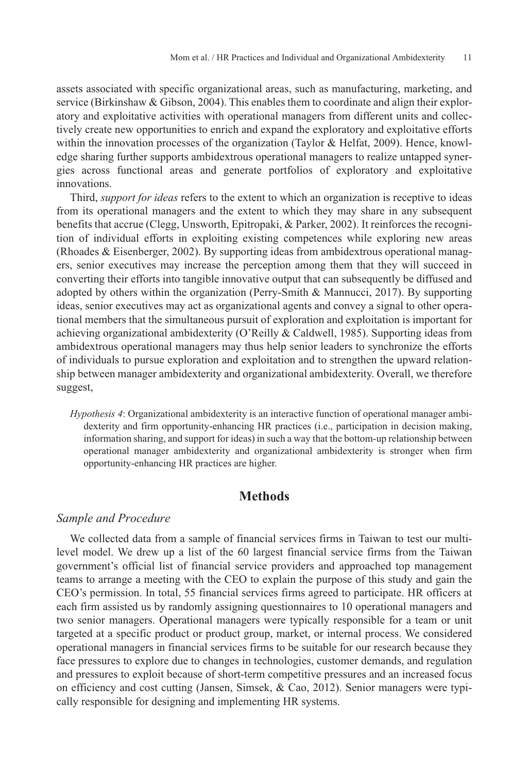assets associated with specific organizational areas, such as manufacturing, marketing, and service (Birkinshaw & Gibson, 2004). This enables them to coordinate and align their exploratory and exploitative activities with operational managers from different units and collectively create new opportunities to enrich and expand the exploratory and exploitative efforts within the innovation processes of the organization (Taylor & Helfat, 2009). Hence, knowledge sharing further supports ambidextrous operational managers to realize untapped synergies across functional areas and generate portfolios of exploratory and exploitative innovations.

Third, *support for ideas* refers to the extent to which an organization is receptive to ideas from its operational managers and the extent to which they may share in any subsequent benefits that accrue (Clegg, Unsworth, Epitropaki, & Parker, 2002). It reinforces the recognition of individual efforts in exploiting existing competences while exploring new areas (Rhoades & Eisenberger, 2002). By supporting ideas from ambidextrous operational managers, senior executives may increase the perception among them that they will succeed in converting their efforts into tangible innovative output that can subsequently be diffused and adopted by others within the organization (Perry-Smith & Mannucci, 2017). By supporting ideas, senior executives may act as organizational agents and convey a signal to other operational members that the simultaneous pursuit of exploration and exploitation is important for achieving organizational ambidexterity (O'Reilly & Caldwell, 1985). Supporting ideas from ambidextrous operational managers may thus help senior leaders to synchronize the efforts of individuals to pursue exploration and exploitation and to strengthen the upward relationship between manager ambidexterity and organizational ambidexterity. Overall, we therefore suggest,

*Hypothesis 4*: Organizational ambidexterity is an interactive function of operational manager ambidexterity and firm opportunity-enhancing HR practices (i.e., participation in decision making, information sharing, and support for ideas) in such a way that the bottom-up relationship between operational manager ambidexterity and organizational ambidexterity is stronger when firm opportunity-enhancing HR practices are higher.

# **Methods**

## *Sample and Procedure*

We collected data from a sample of financial services firms in Taiwan to test our multilevel model. We drew up a list of the 60 largest financial service firms from the Taiwan government's official list of financial service providers and approached top management teams to arrange a meeting with the CEO to explain the purpose of this study and gain the CEO's permission. In total, 55 financial services firms agreed to participate. HR officers at each firm assisted us by randomly assigning questionnaires to 10 operational managers and two senior managers. Operational managers were typically responsible for a team or unit targeted at a specific product or product group, market, or internal process. We considered operational managers in financial services firms to be suitable for our research because they face pressures to explore due to changes in technologies, customer demands, and regulation and pressures to exploit because of short-term competitive pressures and an increased focus on efficiency and cost cutting (Jansen, Simsek,  $\&$  Cao, 2012). Senior managers were typically responsible for designing and implementing HR systems.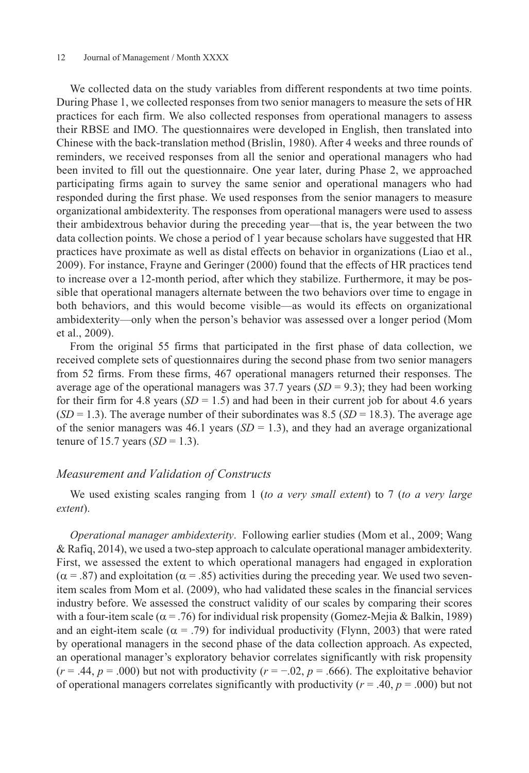#### 12 Journal of Management / Month XXXX

We collected data on the study variables from different respondents at two time points. During Phase 1, we collected responses from two senior managers to measure the sets of HR practices for each firm. We also collected responses from operational managers to assess their RBSE and IMO. The questionnaires were developed in English, then translated into Chinese with the back-translation method (Brislin, 1980). After 4 weeks and three rounds of reminders, we received responses from all the senior and operational managers who had been invited to fill out the questionnaire. One year later, during Phase 2, we approached participating firms again to survey the same senior and operational managers who had responded during the first phase. We used responses from the senior managers to measure organizational ambidexterity. The responses from operational managers were used to assess their ambidextrous behavior during the preceding year—that is, the year between the two data collection points. We chose a period of 1 year because scholars have suggested that HR practices have proximate as well as distal effects on behavior in organizations (Liao et al., 2009). For instance, Frayne and Geringer (2000) found that the effects of HR practices tend to increase over a 12-month period, after which they stabilize. Furthermore, it may be possible that operational managers alternate between the two behaviors over time to engage in both behaviors, and this would become visible—as would its effects on organizational ambidexterity—only when the person's behavior was assessed over a longer period (Mom et al., 2009).

From the original 55 firms that participated in the first phase of data collection, we received complete sets of questionnaires during the second phase from two senior managers from 52 firms. From these firms, 467 operational managers returned their responses. The average age of the operational managers was  $37.7$  years  $(SD = 9.3)$ ; they had been working for their firm for 4.8 years  $(SD = 1.5)$  and had been in their current job for about 4.6 years  $(SD = 1.3)$ . The average number of their subordinates was 8.5 ( $SD = 18.3$ ). The average age of the senior managers was  $46.1$  years (*SD* = 1.3), and they had an average organizational tenure of 15.7 years (*SD* = 1.3).

### *Measurement and Validation of Constructs*

We used existing scales ranging from 1 (*to a very small extent*) to 7 (*to a very large extent*).

*Operational manager ambidexterity*. Following earlier studies (Mom et al., 2009; Wang & Rafiq, 2014), we used a two-step approach to calculate operational manager ambidexterity. First, we assessed the extent to which operational managers had engaged in exploration  $(\alpha = .87)$  and exploitation  $(\alpha = .85)$  activities during the preceding year. We used two sevenitem scales from Mom et al. (2009), who had validated these scales in the financial services industry before. We assessed the construct validity of our scales by comparing their scores with a four-item scale ( $\alpha$  = .76) for individual risk propensity (Gomez-Mejia & Balkin, 1989) and an eight-item scale ( $\alpha = .79$ ) for individual productivity (Flynn, 2003) that were rated by operational managers in the second phase of the data collection approach. As expected, an operational manager's exploratory behavior correlates significantly with risk propensity  $(r = .44, p = .000)$  but not with productivity  $(r = -.02, p = .666)$ . The exploitative behavior of operational managers correlates significantly with productivity ( $r = .40$ ,  $p = .000$ ) but not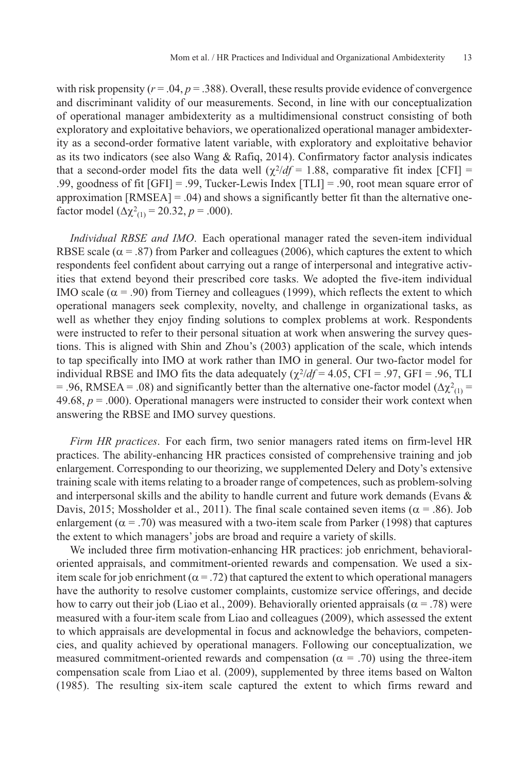with risk propensity  $(r = .04, p = .388)$ . Overall, these results provide evidence of convergence and discriminant validity of our measurements. Second, in line with our conceptualization of operational manager ambidexterity as a multidimensional construct consisting of both exploratory and exploitative behaviors, we operationalized operational manager ambidexterity as a second-order formative latent variable, with exploratory and exploitative behavior as its two indicators (see also Wang & Rafiq, 2014). Confirmatory factor analysis indicates that a second-order model fits the data well  $(\chi^2/df = 1.88$ , comparative fit index [CFI] = .99, goodness of fit [GFI] = .99, Tucker-Lewis Index [TLI] = .90, root mean square error of approximation  $[RMSEA] = .04$ ) and shows a significantly better fit than the alternative onefactor model  $(\Delta \chi^2_{(1)} = 20.32, p = .000)$ .

*Individual RBSE and IMO*. Each operational manager rated the seven-item individual RBSE scale ( $\alpha$  = .87) from Parker and colleagues (2006), which captures the extent to which respondents feel confident about carrying out a range of interpersonal and integrative activities that extend beyond their prescribed core tasks. We adopted the five-item individual IMO scale ( $\alpha$  = .90) from Tierney and colleagues (1999), which reflects the extent to which operational managers seek complexity, novelty, and challenge in organizational tasks, as well as whether they enjoy finding solutions to complex problems at work. Respondents were instructed to refer to their personal situation at work when answering the survey questions. This is aligned with Shin and Zhou's (2003) application of the scale, which intends to tap specifically into IMO at work rather than IMO in general. Our two-factor model for individual RBSE and IMO fits the data adequately  $(\chi^2/df = 4.05, CFI = .97, GFI = .96, TLI$ = .96, RMSEA = .08) and significantly better than the alternative one-factor model ( $\Delta \chi^2_{(1)}$  = 49.68,  $p = 0.00$ ). Operational managers were instructed to consider their work context when answering the RBSE and IMO survey questions.

*Firm HR practices*. For each firm, two senior managers rated items on firm-level HR practices. The ability-enhancing HR practices consisted of comprehensive training and job enlargement. Corresponding to our theorizing, we supplemented Delery and Doty's extensive training scale with items relating to a broader range of competences, such as problem-solving and interpersonal skills and the ability to handle current and future work demands (Evans  $\&$ Davis, 2015; Mossholder et al., 2011). The final scale contained seven items ( $\alpha$  = .86). Job enlargement ( $\alpha$  = .70) was measured with a two-item scale from Parker (1998) that captures the extent to which managers' jobs are broad and require a variety of skills.

We included three firm motivation-enhancing HR practices: job enrichment, behavioraloriented appraisals, and commitment-oriented rewards and compensation. We used a sixitem scale for job enrichment ( $\alpha$  = .72) that captured the extent to which operational managers have the authority to resolve customer complaints, customize service offerings, and decide how to carry out their job (Liao et al., 2009). Behaviorally oriented appraisals ( $\alpha$  = .78) were measured with a four-item scale from Liao and colleagues (2009), which assessed the extent to which appraisals are developmental in focus and acknowledge the behaviors, competencies, and quality achieved by operational managers. Following our conceptualization, we measured commitment-oriented rewards and compensation ( $\alpha$  = .70) using the three-item compensation scale from Liao et al. (2009), supplemented by three items based on Walton (1985). The resulting six-item scale captured the extent to which firms reward and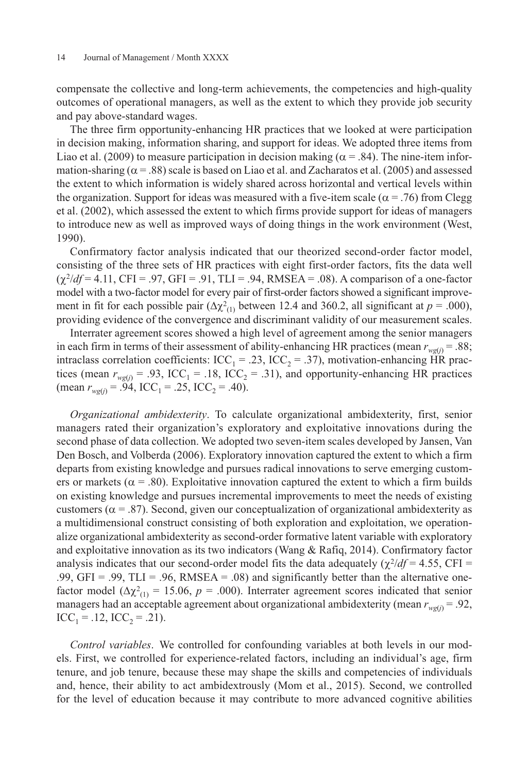compensate the collective and long-term achievements, the competencies and high-quality outcomes of operational managers, as well as the extent to which they provide job security and pay above-standard wages.

The three firm opportunity-enhancing HR practices that we looked at were participation in decision making, information sharing, and support for ideas. We adopted three items from Liao et al. (2009) to measure participation in decision making ( $\alpha$  = .84). The nine-item information-sharing ( $\alpha$  = .88) scale is based on Liao et al. and Zacharatos et al. (2005) and assessed the extent to which information is widely shared across horizontal and vertical levels within the organization. Support for ideas was measured with a five-item scale ( $\alpha$  = .76) from Clegg et al. (2002), which assessed the extent to which firms provide support for ideas of managers to introduce new as well as improved ways of doing things in the work environment (West, 1990).

Confirmatory factor analysis indicated that our theorized second-order factor model, consisting of the three sets of HR practices with eight first-order factors, fits the data well  $(\chi^2/df = 4.11, CFI = .97, GFI = .91, TLI = .94, RMSEA = .08)$ . A comparison of a one-factor model with a two-factor model for every pair of first-order factors showed a significant improvement in fit for each possible pair  $(\Delta \chi^2_{(1)})$  between 12.4 and 360.2, all significant at  $p = .000$ ), providing evidence of the convergence and discriminant validity of our measurement scales.

Interrater agreement scores showed a high level of agreement among the senior managers in each firm in terms of their assessment of ability-enhancing HR practices (mean  $r_{wg(j)} = .88$ ; intraclass correlation coefficients: ICC<sub>1</sub> = .23, ICC<sub>2</sub> = .37), motivation-enhancing HR practices (mean  $r_{wg(j)} = .93$ , ICC<sub>1</sub> = .18, ICC<sub>2</sub> = .31), and opportunity-enhancing HR practices (mean  $r_{wg(i)} = .94$ , ICC<sub>1</sub> = .25, ICC<sub>2</sub> = .40).

*Organizational ambidexterity*. To calculate organizational ambidexterity, first, senior managers rated their organization's exploratory and exploitative innovations during the second phase of data collection. We adopted two seven-item scales developed by Jansen, Van Den Bosch, and Volberda (2006). Exploratory innovation captured the extent to which a firm departs from existing knowledge and pursues radical innovations to serve emerging customers or markets ( $\alpha$  = .80). Exploitative innovation captured the extent to which a firm builds on existing knowledge and pursues incremental improvements to meet the needs of existing customers ( $\alpha$  = .87). Second, given our conceptualization of organizational ambidexterity as a multidimensional construct consisting of both exploration and exploitation, we operationalize organizational ambidexterity as second-order formative latent variable with exploratory and exploitative innovation as its two indicators (Wang  $\&$  Rafiq, 2014). Confirmatory factor analysis indicates that our second-order model fits the data adequately  $(\chi^2/df = 4.55, \text{CFI} =$ .99,  $GFI = .99$ ,  $TLI = .96$ ,  $RMSEA = .08$ ) and significantly better than the alternative onefactor model ( $\Delta \chi^2_{(1)} = 15.06$ ,  $p = .000$ ). Interrater agreement scores indicated that senior managers had an acceptable agreement about organizational ambidexterity (mean  $r_{wg(j)} = .92$ ,  $ICC_1 = .12, ICC_2 = .21).$ 

*Control variables*. We controlled for confounding variables at both levels in our models. First, we controlled for experience-related factors, including an individual's age, firm tenure, and job tenure, because these may shape the skills and competencies of individuals and, hence, their ability to act ambidextrously (Mom et al., 2015). Second, we controlled for the level of education because it may contribute to more advanced cognitive abilities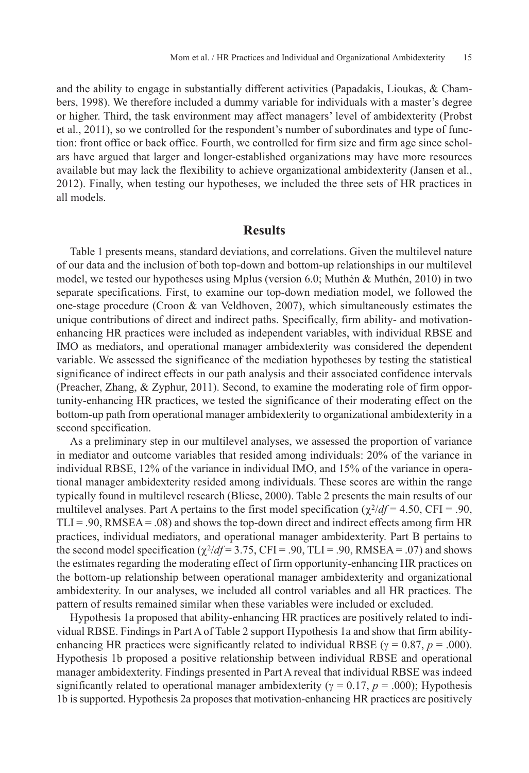and the ability to engage in substantially different activities (Papadakis, Lioukas, & Chambers, 1998). We therefore included a dummy variable for individuals with a master's degree or higher. Third, the task environment may affect managers' level of ambidexterity (Probst et al., 2011), so we controlled for the respondent's number of subordinates and type of function: front office or back office. Fourth, we controlled for firm size and firm age since scholars have argued that larger and longer-established organizations may have more resources available but may lack the flexibility to achieve organizational ambidexterity (Jansen et al., 2012). Finally, when testing our hypotheses, we included the three sets of HR practices in all models.

# **Results**

Table 1 presents means, standard deviations, and correlations. Given the multilevel nature of our data and the inclusion of both top-down and bottom-up relationships in our multilevel model, we tested our hypotheses using Mplus (version 6.0; Muthén & Muthén, 2010) in two separate specifications. First, to examine our top-down mediation model, we followed the one-stage procedure (Croon & van Veldhoven, 2007), which simultaneously estimates the unique contributions of direct and indirect paths. Specifically, firm ability- and motivationenhancing HR practices were included as independent variables, with individual RBSE and IMO as mediators, and operational manager ambidexterity was considered the dependent variable. We assessed the significance of the mediation hypotheses by testing the statistical significance of indirect effects in our path analysis and their associated confidence intervals (Preacher, Zhang, & Zyphur, 2011). Second, to examine the moderating role of firm opportunity-enhancing HR practices, we tested the significance of their moderating effect on the bottom-up path from operational manager ambidexterity to organizational ambidexterity in a second specification.

As a preliminary step in our multilevel analyses, we assessed the proportion of variance in mediator and outcome variables that resided among individuals: 20% of the variance in individual RBSE, 12% of the variance in individual IMO, and 15% of the variance in operational manager ambidexterity resided among individuals. These scores are within the range typically found in multilevel research (Bliese, 2000). Table 2 presents the main results of our multilevel analyses. Part A pertains to the first model specification  $(\chi^2/df = 4.50, \text{CFI} = .90,$  $TLI = .90$ , RMSEA =  $.08$ ) and shows the top-down direct and indirect effects among firm HR practices, individual mediators, and operational manager ambidexterity. Part B pertains to the second model specification ( $\chi^2/df = 3.75$ , CFI = .90, TLI = .90, RMSEA = .07) and shows the estimates regarding the moderating effect of firm opportunity-enhancing HR practices on the bottom-up relationship between operational manager ambidexterity and organizational ambidexterity. In our analyses, we included all control variables and all HR practices. The pattern of results remained similar when these variables were included or excluded.

Hypothesis 1a proposed that ability-enhancing HR practices are positively related to individual RBSE. Findings in Part A of Table 2 support Hypothesis 1a and show that firm abilityenhancing HR practices were significantly related to individual RBSE ( $\gamma = 0.87$ ,  $p = .000$ ). Hypothesis 1b proposed a positive relationship between individual RBSE and operational manager ambidexterity. Findings presented in Part A reveal that individual RBSE was indeed significantly related to operational manager ambidexterity ( $\gamma = 0.17$ ,  $p = .000$ ); Hypothesis 1b is supported. Hypothesis 2a proposes that motivation-enhancing HR practices are positively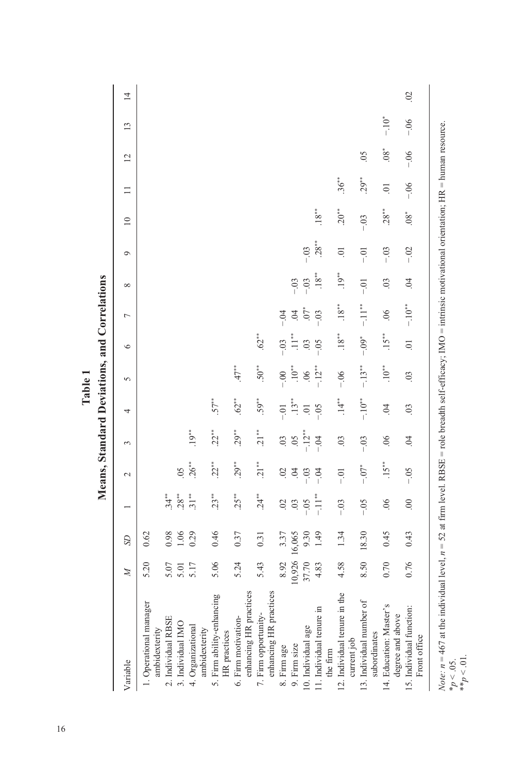|                                                                                                                                                                                                              |              |           |                | Means, Standard Deviations, and Correlations |                           |                | $\sum_{n=1}^{\infty}$ |                     |                          |                |                    |                 |                |        |           |                 |
|--------------------------------------------------------------------------------------------------------------------------------------------------------------------------------------------------------------|--------------|-----------|----------------|----------------------------------------------|---------------------------|----------------|-----------------------|---------------------|--------------------------|----------------|--------------------|-----------------|----------------|--------|-----------|-----------------|
| Variable                                                                                                                                                                                                     | $\mathbb{Z}$ | <b>SD</b> |                | $\sim$                                       | 3                         | 4              | $\sim$                | $\circ$             | $\overline{ }$           | $\infty$       | $\circ$            | $\overline{10}$ | $\Box$         | 12     | 13        | $\overline{14}$ |
| 1. Operational manager<br>ambidexterity                                                                                                                                                                      | 5.20         | 0.62      |                |                                              |                           |                |                       |                     |                          |                |                    |                 |                |        |           |                 |
|                                                                                                                                                                                                              | 5.07         | 0.98      | $34**$         |                                              |                           |                |                       |                     |                          |                |                    |                 |                |        |           |                 |
| 2. Individual RBSE<br>3. Individual IMO                                                                                                                                                                      | 5.01         | $1.06$    | $28**$         | 0 <sup>5</sup>                               |                           |                |                       |                     |                          |                |                    |                 |                |        |           |                 |
| 4. Organizational<br>ambidexterity                                                                                                                                                                           | 5.17         | 0.29      | $31**$         | $26***$                                      | $19***$                   |                |                       |                     |                          |                |                    |                 |                |        |           |                 |
| 5. Firm ability-enhancing<br>HR practices                                                                                                                                                                    | 5.06         | 0.46      | $23**$         | $22**$                                       | $22**$                    | $57**$         |                       |                     |                          |                |                    |                 |                |        |           |                 |
| enhancing HR practices<br>6. Firm motivation-                                                                                                                                                                | 5.24         | 0.37      | $25***$        | $29***$                                      | $29***$                   | $62**$         | $47**$                |                     |                          |                |                    |                 |                |        |           |                 |
| enhancing HR practices<br>7. Firm opportunity-                                                                                                                                                               | 5.43         | 0.31      | $.24**$        | $21**$                                       | $21**$                    | $59**$         | $50**$                | $.62**$             |                          |                |                    |                 |                |        |           |                 |
| 8. Firm age                                                                                                                                                                                                  | 8.92         | 3.37      | 02             | $\sim$                                       | $\overline{0}$            | $-0.$          | $-0.0$                | $-0.0$              | $-0.4$                   |                |                    |                 |                |        |           |                 |
| 9. Firm size                                                                                                                                                                                                 | 10,926       | 16,065    | $03$           | $\dot{5}$                                    | $\widetilde{\mathcal{L}}$ | $.13***$       | $10^{**}$             |                     | $\ddot{\theta}$          | $-0.3$         |                    |                 |                |        |           |                 |
| 10. Individual age                                                                                                                                                                                           | 37.70        | 9.30      | $-0.5$         | $-0.3$                                       | $-12**$                   | $\Xi$          | .06                   | $\ddot{\mathrm{C}}$ | $.07*$                   | $-03$          | $-03$              |                 |                |        |           |                 |
| 11. Individual tenure in<br>the firm                                                                                                                                                                         | 4.83         | 1.49      | $-11**$        | $-04$                                        | $-0.4$                    | $-0.5$         | $-12**$               | $\overline{0}$      | $-0.3$                   | $.18**$        | $28**$             | $.18***$        |                |        |           |                 |
| 12. Individual tenure in the<br>current job                                                                                                                                                                  | 4.58         | 1.34      | $-03$          | $-0.1$                                       | $\overline{0}$            | $.14**$        | $-06$                 | $.18***$            | $.18***$                 | $.19***$       | $\overline{\circ}$ | $20***$         | $36***$        |        |           |                 |
| 13. Individual number of<br>subordinates                                                                                                                                                                     | 8.50         | 18.30     | $-0.5$         | $-0.07*$                                     | $-03$                     | $-10^{**}$     | $-.13**$              | $-0.09*$            | $-11$ <sup>**</sup>      | $-5$           | $-0.1$             | $-0.3$          | $29***$        | $\sim$ |           |                 |
| 14. Education: Master's<br>degree and above                                                                                                                                                                  | 0.70         | 0.45      | 06             | $15**$                                       | 06                        | $\overline{6}$ | $.10**$               | $.15***$            | $\widetilde{\mathrm{O}}$ | $\overline{0}$ | $-03$              | $28**$          | $\overline{0}$ | $.08*$ | $-10^{*}$ |                 |
| 15. Individual function:<br>Front office                                                                                                                                                                     | 0.76         | 0.43      | $\overline{0}$ | $-0.5$                                       | $\ddot{\theta}$           | $\overline{0}$ | $\overline{0}$        | $\overline{\circ}$  | $-10^{**}$               | $\ddot{0}$     | $-02$              | $08*$           | $-06$          | $-0.6$ | $-06$     | $\overline{0}$  |
| <i>Note:</i> $n = 467$ at the individual level, $n = 52$ at firm level. RBSE = role breadth self-efficacy; IMO = intrinsic motivational orientation; HR = human resource.<br>$*_{p} < .05.$<br>** $p < .01.$ |              |           |                |                                              |                           |                |                       |                     |                          |                |                    |                 |                |        |           |                 |

 $\frac{c}{7}$ **Table 1**  $\frac{1}{2}$  $\vec{c}$ 

16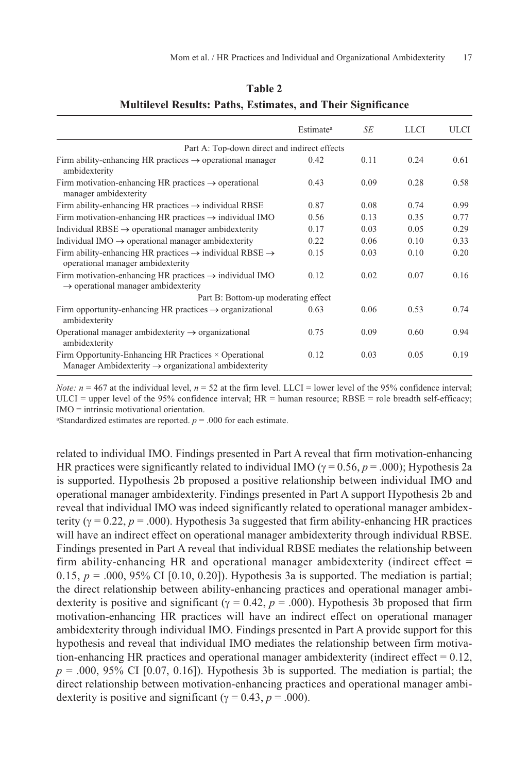|                                                                                                                           | Estimate <sup>a</sup> | SE   | <b>LLCI</b> | ULCI |
|---------------------------------------------------------------------------------------------------------------------------|-----------------------|------|-------------|------|
| Part A: Top-down direct and indirect effects                                                                              |                       |      |             |      |
| Firm ability-enhancing HR practices $\rightarrow$ operational manager<br>ambidexterity                                    | 0.42                  | 0.11 | 0.24        | 0.61 |
| Firm motivation-enhancing HR practices $\rightarrow$ operational<br>manager ambidexterity                                 | 0.43                  | 0.09 | 0.28        | 0.58 |
| Firm ability-enhancing HR practices $\rightarrow$ individual RBSE                                                         | 0.87                  | 0.08 | 0.74        | 0.99 |
| Firm motivation-enhancing HR practices $\rightarrow$ individual IMO                                                       | 0.56                  | 0.13 | 0.35        | 0.77 |
| Individual $RBSE \rightarrow$ operational manager ambidexterity                                                           | 0.17                  | 0.03 | 0.05        | 0.29 |
| Individual IMO $\rightarrow$ operational manager ambidexterity                                                            | 0.22                  | 0.06 | 0.10        | 0.33 |
| Firm ability-enhancing HR practices $\rightarrow$ individual RBSE $\rightarrow$<br>operational manager ambidexterity      | 0.15                  | 0.03 | 0.10        | 0.20 |
| Firm motivation-enhancing HR practices $\rightarrow$ individual IMO<br>$\rightarrow$ operational manager ambidexterity    | 0.12                  | 0.02 | 0.07        | 0.16 |
| Part B: Bottom-up moderating effect                                                                                       |                       |      |             |      |
| Firm opportunity-enhancing HR practices $\rightarrow$ organizational<br>ambidexterity                                     | 0.63                  | 0.06 | 0.53        | 0.74 |
| Operational manager ambidexterity $\rightarrow$ organizational<br>ambidexterity                                           | 0.75                  | 0.09 | 0.60        | 0.94 |
| Firm Opportunity-Enhancing HR Practices × Operational<br>Manager Ambidexterity $\rightarrow$ organizational ambidexterity | 0.12                  | 0.03 | 0.05        | 0.19 |

# **Table 2 Multilevel Results: Paths, Estimates, and Their Significance**

*Note:*  $n = 467$  at the individual level,  $n = 52$  at the firm level. LLCI = lower level of the 95% confidence interval; ULCI = upper level of the 95% confidence interval;  $HR =$  human resource;  $RBSE =$  role breadth self-efficacy; IMO = intrinsic motivational orientation.

<sup>a</sup>Standardized estimates are reported.  $p = .000$  for each estimate.

related to individual IMO. Findings presented in Part A reveal that firm motivation-enhancing HR practices were significantly related to individual IMO ( $\gamma = 0.56$ ,  $p = .000$ ); Hypothesis 2a is supported. Hypothesis 2b proposed a positive relationship between individual IMO and operational manager ambidexterity. Findings presented in Part A support Hypothesis 2b and reveal that individual IMO was indeed significantly related to operational manager ambidexterity ( $\gamma = 0.22$ ,  $p = .000$ ). Hypothesis 3a suggested that firm ability-enhancing HR practices will have an indirect effect on operational manager ambidexterity through individual RBSE. Findings presented in Part A reveal that individual RBSE mediates the relationship between firm ability-enhancing HR and operational manager ambidexterity (indirect effect  $=$ 0.15,  $p = .000, 95\%$  CI [0.10, 0.20]). Hypothesis 3a is supported. The mediation is partial; the direct relationship between ability-enhancing practices and operational manager ambidexterity is positive and significant ( $\gamma = 0.42$ ,  $p = .000$ ). Hypothesis 3b proposed that firm motivation-enhancing HR practices will have an indirect effect on operational manager ambidexterity through individual IMO. Findings presented in Part A provide support for this hypothesis and reveal that individual IMO mediates the relationship between firm motivation-enhancing HR practices and operational manager ambidexterity (indirect effect  $= 0.12$ ,  $p = 0.000$ , 95% CI [0.07, 0.16]). Hypothesis 3b is supported. The mediation is partial; the direct relationship between motivation-enhancing practices and operational manager ambidexterity is positive and significant ( $\gamma = 0.43$ ,  $p = .000$ ).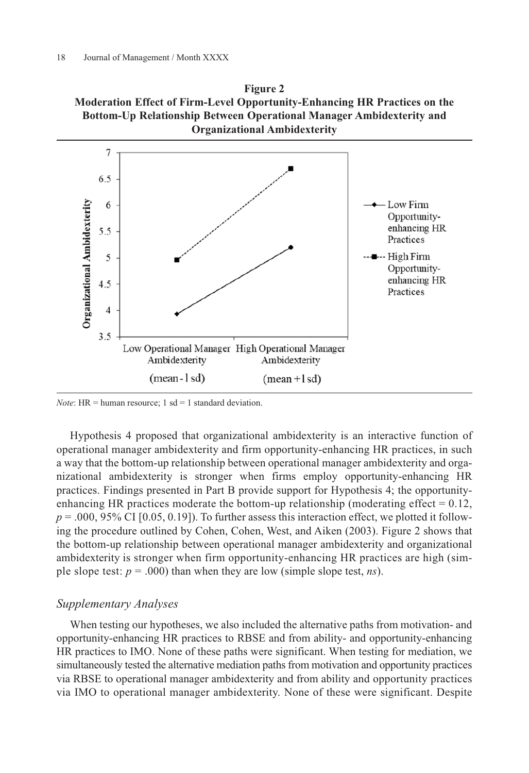



*Note*: HR = human resource;  $1$  sd = 1 standard deviation.

Hypothesis 4 proposed that organizational ambidexterity is an interactive function of operational manager ambidexterity and firm opportunity-enhancing HR practices, in such a way that the bottom-up relationship between operational manager ambidexterity and organizational ambidexterity is stronger when firms employ opportunity-enhancing HR practices. Findings presented in Part B provide support for Hypothesis 4; the opportunityenhancing HR practices moderate the bottom-up relationship (moderating effect  $= 0.12$ ,  $p = .000, 95\%$  CI [0.05, 0.19]). To further assess this interaction effect, we plotted it following the procedure outlined by Cohen, Cohen, West, and Aiken (2003). Figure 2 shows that the bottom-up relationship between operational manager ambidexterity and organizational ambidexterity is stronger when firm opportunity-enhancing HR practices are high (simple slope test: *p* = .000) than when they are low (simple slope test, *ns*).

### *Supplementary Analyses*

When testing our hypotheses, we also included the alternative paths from motivation- and opportunity-enhancing HR practices to RBSE and from ability- and opportunity-enhancing HR practices to IMO. None of these paths were significant. When testing for mediation, we simultaneously tested the alternative mediation paths from motivation and opportunity practices via RBSE to operational manager ambidexterity and from ability and opportunity practices via IMO to operational manager ambidexterity. None of these were significant. Despite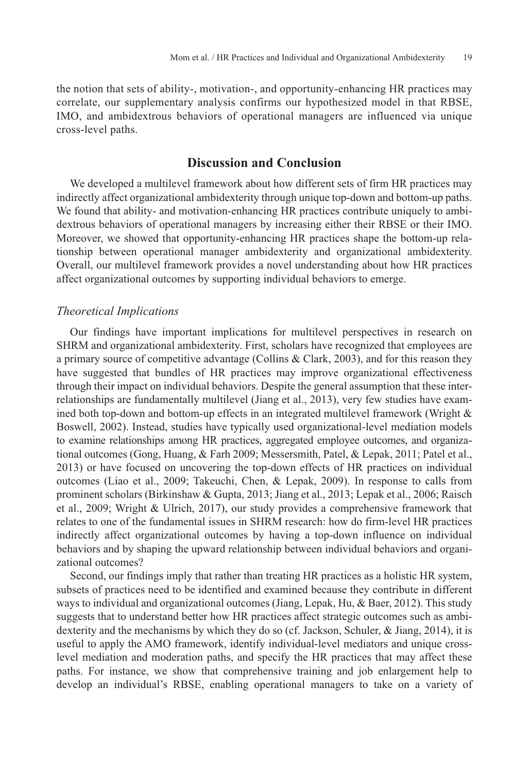the notion that sets of ability-, motivation-, and opportunity-enhancing HR practices may correlate, our supplementary analysis confirms our hypothesized model in that RBSE, IMO, and ambidextrous behaviors of operational managers are influenced via unique cross-level paths.

# **Discussion and Conclusion**

We developed a multilevel framework about how different sets of firm HR practices may indirectly affect organizational ambidexterity through unique top-down and bottom-up paths. We found that ability- and motivation-enhancing HR practices contribute uniquely to ambidextrous behaviors of operational managers by increasing either their RBSE or their IMO. Moreover, we showed that opportunity-enhancing HR practices shape the bottom-up relationship between operational manager ambidexterity and organizational ambidexterity. Overall, our multilevel framework provides a novel understanding about how HR practices affect organizational outcomes by supporting individual behaviors to emerge.

### *Theoretical Implications*

Our findings have important implications for multilevel perspectives in research on SHRM and organizational ambidexterity. First, scholars have recognized that employees are a primary source of competitive advantage (Collins & Clark, 2003), and for this reason they have suggested that bundles of HR practices may improve organizational effectiveness through their impact on individual behaviors. Despite the general assumption that these interrelationships are fundamentally multilevel (Jiang et al., 2013), very few studies have examined both top-down and bottom-up effects in an integrated multilevel framework (Wright & Boswell, 2002). Instead, studies have typically used organizational-level mediation models to examine relationships among HR practices, aggregated employee outcomes, and organizational outcomes (Gong, Huang, & Farh 2009; Messersmith, Patel, & Lepak, 2011; Patel et al., 2013) or have focused on uncovering the top-down effects of HR practices on individual outcomes (Liao et al., 2009; Takeuchi, Chen, & Lepak, 2009). In response to calls from prominent scholars (Birkinshaw & Gupta, 2013; Jiang et al., 2013; Lepak et al., 2006; Raisch et al., 2009; Wright & Ulrich, 2017), our study provides a comprehensive framework that relates to one of the fundamental issues in SHRM research: how do firm-level HR practices indirectly affect organizational outcomes by having a top-down influence on individual behaviors and by shaping the upward relationship between individual behaviors and organizational outcomes?

Second, our findings imply that rather than treating HR practices as a holistic HR system, subsets of practices need to be identified and examined because they contribute in different ways to individual and organizational outcomes (Jiang, Lepak, Hu, & Baer, 2012). This study suggests that to understand better how HR practices affect strategic outcomes such as ambidexterity and the mechanisms by which they do so (cf. Jackson, Schuler, & Jiang, 2014), it is useful to apply the AMO framework, identify individual-level mediators and unique crosslevel mediation and moderation paths, and specify the HR practices that may affect these paths. For instance, we show that comprehensive training and job enlargement help to develop an individual's RBSE, enabling operational managers to take on a variety of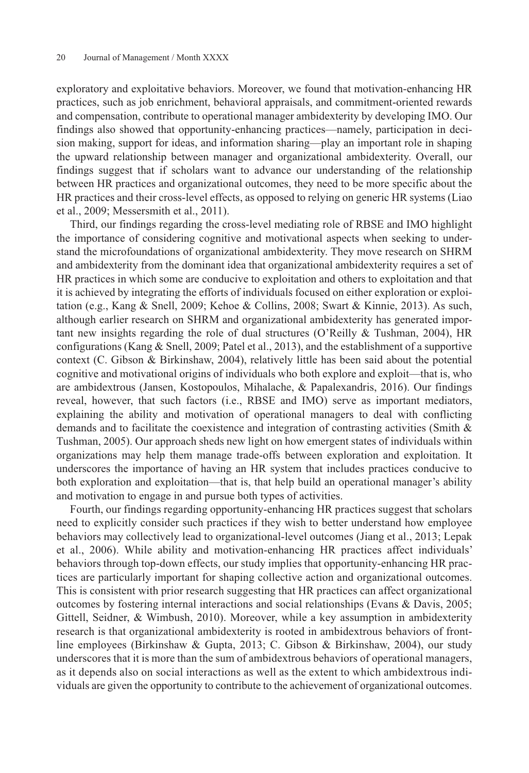exploratory and exploitative behaviors. Moreover, we found that motivation-enhancing HR practices, such as job enrichment, behavioral appraisals, and commitment-oriented rewards and compensation, contribute to operational manager ambidexterity by developing IMO. Our findings also showed that opportunity-enhancing practices—namely, participation in decision making, support for ideas, and information sharing—play an important role in shaping the upward relationship between manager and organizational ambidexterity. Overall, our findings suggest that if scholars want to advance our understanding of the relationship between HR practices and organizational outcomes, they need to be more specific about the HR practices and their cross-level effects, as opposed to relying on generic HR systems (Liao et al., 2009; Messersmith et al., 2011).

Third, our findings regarding the cross-level mediating role of RBSE and IMO highlight the importance of considering cognitive and motivational aspects when seeking to understand the microfoundations of organizational ambidexterity. They move research on SHRM and ambidexterity from the dominant idea that organizational ambidexterity requires a set of HR practices in which some are conducive to exploitation and others to exploitation and that it is achieved by integrating the efforts of individuals focused on either exploration or exploitation (e.g., Kang & Snell, 2009; Kehoe & Collins, 2008; Swart & Kinnie, 2013). As such, although earlier research on SHRM and organizational ambidexterity has generated important new insights regarding the role of dual structures (O'Reilly & Tushman, 2004), HR configurations (Kang  $\&$  Snell, 2009; Patel et al., 2013), and the establishment of a supportive context (C. Gibson & Birkinshaw, 2004), relatively little has been said about the potential cognitive and motivational origins of individuals who both explore and exploit—that is, who are ambidextrous (Jansen, Kostopoulos, Mihalache, & Papalexandris, 2016). Our findings reveal, however, that such factors (i.e., RBSE and IMO) serve as important mediators, explaining the ability and motivation of operational managers to deal with conflicting demands and to facilitate the coexistence and integration of contrasting activities (Smith & Tushman, 2005). Our approach sheds new light on how emergent states of individuals within organizations may help them manage trade-offs between exploration and exploitation. It underscores the importance of having an HR system that includes practices conducive to both exploration and exploitation—that is, that help build an operational manager's ability and motivation to engage in and pursue both types of activities.

Fourth, our findings regarding opportunity-enhancing HR practices suggest that scholars need to explicitly consider such practices if they wish to better understand how employee behaviors may collectively lead to organizational-level outcomes (Jiang et al., 2013; Lepak et al., 2006). While ability and motivation-enhancing HR practices affect individuals' behaviors through top-down effects, our study implies that opportunity-enhancing HR practices are particularly important for shaping collective action and organizational outcomes. This is consistent with prior research suggesting that HR practices can affect organizational outcomes by fostering internal interactions and social relationships (Evans & Davis, 2005; Gittell, Seidner, & Wimbush, 2010). Moreover, while a key assumption in ambidexterity research is that organizational ambidexterity is rooted in ambidextrous behaviors of frontline employees (Birkinshaw & Gupta, 2013; C. Gibson & Birkinshaw, 2004), our study underscores that it is more than the sum of ambidextrous behaviors of operational managers, as it depends also on social interactions as well as the extent to which ambidextrous individuals are given the opportunity to contribute to the achievement of organizational outcomes.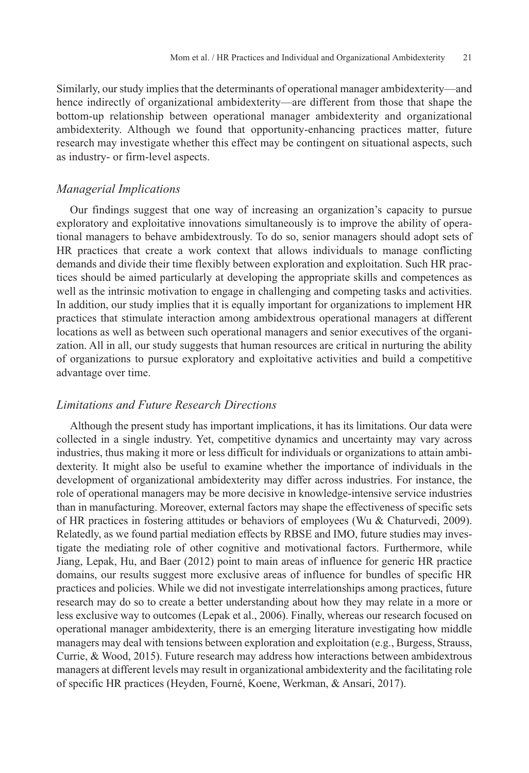Similarly, our study implies that the determinants of operational manager ambidexterity—and hence indirectly of organizational ambidexterity—are different from those that shape the bottom-up relationship between operational manager ambidexterity and organizational ambidexterity. Although we found that opportunity-enhancing practices matter, future research may investigate whether this effect may be contingent on situational aspects, such as industry- or firm-level aspects.

### *Managerial Implications*

Our findings suggest that one way of increasing an organization's capacity to pursue exploratory and exploitative innovations simultaneously is to improve the ability of operational managers to behave ambidextrously. To do so, senior managers should adopt sets of HR practices that create a work context that allows individuals to manage conflicting demands and divide their time flexibly between exploration and exploitation. Such HR practices should be aimed particularly at developing the appropriate skills and competences as well as the intrinsic motivation to engage in challenging and competing tasks and activities. In addition, our study implies that it is equally important for organizations to implement HR practices that stimulate interaction among ambidextrous operational managers at different locations as well as between such operational managers and senior executives of the organization. All in all, our study suggests that human resources are critical in nurturing the ability of organizations to pursue exploratory and exploitative activities and build a competitive advantage over time.

### *Limitations and Future Research Directions*

Although the present study has important implications, it has its limitations. Our data were collected in a single industry. Yet, competitive dynamics and uncertainty may vary across industries, thus making it more or less difficult for individuals or organizations to attain ambidexterity. It might also be useful to examine whether the importance of individuals in the development of organizational ambidexterity may differ across industries. For instance, the role of operational managers may be more decisive in knowledge-intensive service industries than in manufacturing. Moreover, external factors may shape the effectiveness of specific sets of HR practices in fostering attitudes or behaviors of employees (Wu & Chaturvedi, 2009). Relatedly, as we found partial mediation effects by RBSE and IMO, future studies may investigate the mediating role of other cognitive and motivational factors. Furthermore, while Jiang, Lepak, Hu, and Baer (2012) point to main areas of influence for generic HR practice domains, our results suggest more exclusive areas of influence for bundles of specific HR practices and policies. While we did not investigate interrelationships among practices, future research may do so to create a better understanding about how they may relate in a more or less exclusive way to outcomes (Lepak et al., 2006). Finally, whereas our research focused on operational manager ambidexterity, there is an emerging literature investigating how middle managers may deal with tensions between exploration and exploitation (e.g., Burgess, Strauss, Currie, & Wood, 2015). Future research may address how interactions between ambidextrous managers at different levels may result in organizational ambidexterity and the facilitating role of specific HR practices (Heyden, Fourné, Koene, Werkman, & Ansari, 2017).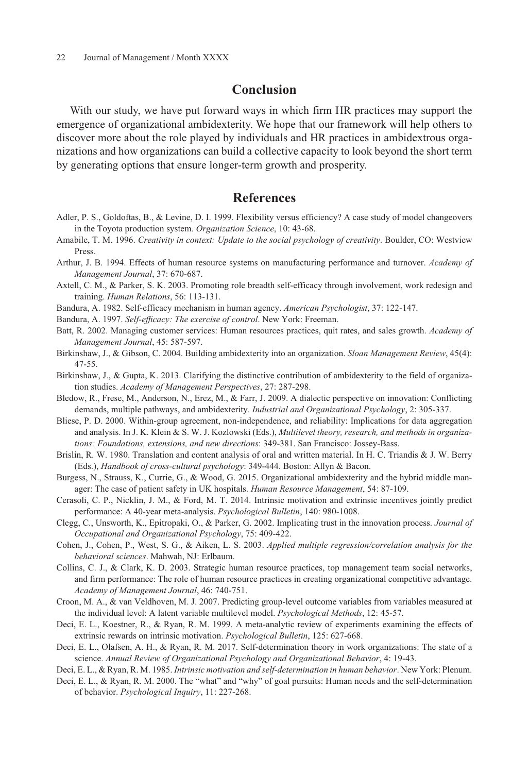# **Conclusion**

With our study, we have put forward ways in which firm HR practices may support the emergence of organizational ambidexterity. We hope that our framework will help others to discover more about the role played by individuals and HR practices in ambidextrous organizations and how organizations can build a collective capacity to look beyond the short term by generating options that ensure longer-term growth and prosperity.

# **References**

- Adler, P. S., Goldoftas, B., & Levine, D. I. 1999. Flexibility versus efficiency? A case study of model changeovers in the Toyota production system. *Organization Science*, 10: 43-68.
- Amabile, T. M. 1996. *Creativity in context: Update to the social psychology of creativity*. Boulder, CO: Westview Press.
- Arthur, J. B. 1994. Effects of human resource systems on manufacturing performance and turnover. *Academy of Management Journal*, 37: 670-687.
- Axtell, C. M., & Parker, S. K. 2003. Promoting role breadth self-efficacy through involvement, work redesign and training. *Human Relations*, 56: 113-131.
- Bandura, A. 1982. Self-efficacy mechanism in human agency. *American Psychologist*, 37: 122-147.
- Bandura, A. 1997. *Self-efficacy: The exercise of control*. New York: Freeman.
- Batt, R. 2002. Managing customer services: Human resources practices, quit rates, and sales growth. *Academy of Management Journal*, 45: 587-597.
- Birkinshaw, J., & Gibson, C. 2004. Building ambidexterity into an organization. *Sloan Management Review*, 45(4): 47-55.
- Birkinshaw, J., & Gupta, K. 2013. Clarifying the distinctive contribution of ambidexterity to the field of organization studies. *Academy of Management Perspectives*, 27: 287-298.
- Bledow, R., Frese, M., Anderson, N., Erez, M., & Farr, J. 2009. A dialectic perspective on innovation: Conflicting demands, multiple pathways, and ambidexterity. *Industrial and Organizational Psychology*, 2: 305-337.
- Bliese, P. D. 2000. Within-group agreement, non-independence, and reliability: Implications for data aggregation and analysis. In J. K. Klein & S. W. J. Kozlowski (Eds.), *Multilevel theory, research, and methods in organizations: Foundations, extensions, and new directions*: 349-381. San Francisco: Jossey-Bass.
- Brislin, R. W. 1980. Translation and content analysis of oral and written material. In H. C. Triandis & J. W. Berry (Eds.), *Handbook of cross-cultural psychology*: 349-444. Boston: Allyn & Bacon.
- Burgess, N., Strauss, K., Currie, G., & Wood, G. 2015. Organizational ambidexterity and the hybrid middle manager: The case of patient safety in UK hospitals. *Human Resource Management*, 54: 87-109.
- Cerasoli, C. P., Nicklin, J. M., & Ford, M. T. 2014. Intrinsic motivation and extrinsic incentives jointly predict performance: A 40-year meta-analysis. *Psychological Bulletin*, 140: 980-1008.
- Clegg, C., Unsworth, K., Epitropaki, O., & Parker, G. 2002. Implicating trust in the innovation process. *Journal of Occupational and Organizational Psychology*, 75: 409-422.
- Cohen, J., Cohen, P., West, S. G., & Aiken, L. S. 2003. *Applied multiple regression/correlation analysis for the behavioral sciences*. Mahwah, NJ: Erlbaum.
- Collins, C. J., & Clark, K. D. 2003. Strategic human resource practices, top management team social networks, and firm performance: The role of human resource practices in creating organizational competitive advantage. *Academy of Management Journal*, 46: 740-751.
- Croon, M. A., & van Veldhoven, M. J. 2007. Predicting group-level outcome variables from variables measured at the individual level: A latent variable multilevel model. *Psychological Methods*, 12: 45-57.
- Deci, E. L., Koestner, R., & Ryan, R. M. 1999. A meta-analytic review of experiments examining the effects of extrinsic rewards on intrinsic motivation. *Psychological Bulletin*, 125: 627-668.
- Deci, E. L., Olafsen, A. H., & Ryan, R. M. 2017. Self-determination theory in work organizations: The state of a science. *Annual Review of Organizational Psychology and Organizational Behavior*, 4: 19-43.
- Deci, E. L., & Ryan, R. M. 1985. *Intrinsic motivation and self-determination in human behavior*. New York: Plenum.
- Deci, E. L., & Ryan, R. M. 2000. The "what" and "why" of goal pursuits: Human needs and the self-determination of behavior. *Psychological Inquiry*, 11: 227-268.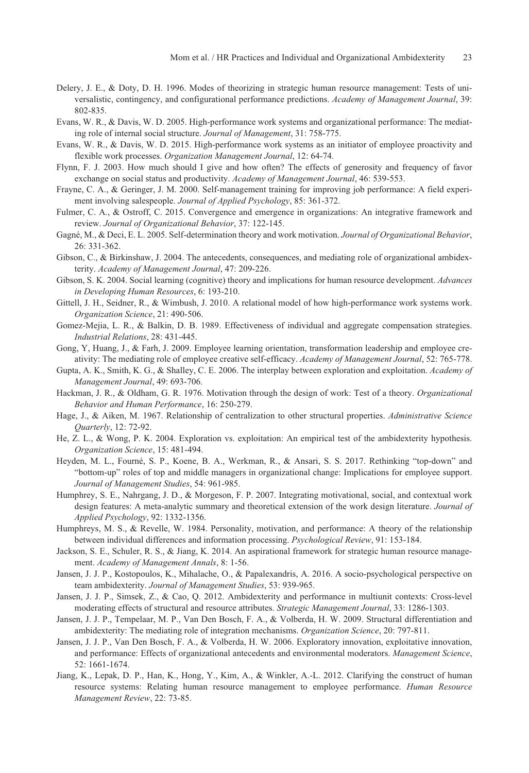- Delery, J. E., & Doty, D. H. 1996. Modes of theorizing in strategic human resource management: Tests of universalistic, contingency, and configurational performance predictions. *Academy of Management Journal*, 39: 802-835.
- Evans, W. R., & Davis, W. D. 2005. High-performance work systems and organizational performance: The mediating role of internal social structure. *Journal of Management*, 31: 758-775.
- Evans, W. R., & Davis, W. D. 2015. High-performance work systems as an initiator of employee proactivity and flexible work processes. *Organization Management Journal*, 12: 64-74.
- Flynn, F. J. 2003. How much should I give and how often? The effects of generosity and frequency of favor exchange on social status and productivity. *Academy of Management Journal*, 46: 539-553.
- Frayne, C. A., & Geringer, J. M. 2000. Self-management training for improving job performance: A field experiment involving salespeople. *Journal of Applied Psychology*, 85: 361-372.
- Fulmer, C. A., & Ostroff, C. 2015. Convergence and emergence in organizations: An integrative framework and review. *Journal of Organizational Behavior*, 37: 122-145.
- Gagné, M., & Deci, E. L. 2005. Self-determination theory and work motivation. *Journal of Organizational Behavior*, 26: 331-362.
- Gibson, C., & Birkinshaw, J. 2004. The antecedents, consequences, and mediating role of organizational ambidexterity. *Academy of Management Journal*, 47: 209-226.
- Gibson, S. K. 2004. Social learning (cognitive) theory and implications for human resource development. *Advances in Developing Human Resources*, 6: 193-210.
- Gittell, J. H., Seidner, R., & Wimbush, J. 2010. A relational model of how high-performance work systems work. *Organization Science*, 21: 490-506.
- Gomez-Mejia, L. R., & Balkin, D. B. 1989. Effectiveness of individual and aggregate compensation strategies. *Industrial Relations*, 28: 431-445.
- Gong, Y, Huang, J., & Farh, J. 2009. Employee learning orientation, transformation leadership and employee creativity: The mediating role of employee creative self-efficacy. *Academy of Management Journal*, 52: 765-778.
- Gupta, A. K., Smith, K. G., & Shalley, C. E. 2006. The interplay between exploration and exploitation. *Academy of Management Journal*, 49: 693-706.
- Hackman, J. R., & Oldham, G. R. 1976. Motivation through the design of work: Test of a theory. *Organizational Behavior and Human Performance*, 16: 250-279.
- Hage, J., & Aiken, M. 1967. Relationship of centralization to other structural properties. *Administrative Science Quarterly*, 12: 72-92.
- He, Z. L., & Wong, P. K. 2004. Exploration vs. exploitation: An empirical test of the ambidexterity hypothesis. *Organization Science*, 15: 481-494.
- Heyden, M. L., Fourné, S. P., Koene, B. A., Werkman, R., & Ansari, S. S. 2017. Rethinking "top-down" and "bottom-up" roles of top and middle managers in organizational change: Implications for employee support. *Journal of Management Studies*, 54: 961-985.
- Humphrey, S. E., Nahrgang, J. D., & Morgeson, F. P. 2007. Integrating motivational, social, and contextual work design features: A meta-analytic summary and theoretical extension of the work design literature. *Journal of Applied Psychology*, 92: 1332-1356.
- Humphreys, M. S., & Revelle, W. 1984. Personality, motivation, and performance: A theory of the relationship between individual differences and information processing. *Psychological Review*, 91: 153-184.
- Jackson, S. E., Schuler, R. S., & Jiang, K. 2014. An aspirational framework for strategic human resource management. *Academy of Management Annals*, 8: 1-56.
- Jansen, J. J. P., Kostopoulos, K., Mihalache, O., & Papalexandris, A. 2016. A socio-psychological perspective on team ambidexterity. *Journal of Management Studies*, 53: 939-965.
- Jansen, J. J. P., Simsek, Z., & Cao, Q. 2012. Ambidexterity and performance in multiunit contexts: Cross-level moderating effects of structural and resource attributes. *Strategic Management Journal*, 33: 1286-1303.
- Jansen, J. J. P., Tempelaar, M. P., Van Den Bosch, F. A., & Volberda, H. W. 2009. Structural differentiation and ambidexterity: The mediating role of integration mechanisms. *Organization Science*, 20: 797-811.
- Jansen, J. J. P., Van Den Bosch, F. A., & Volberda, H. W. 2006. Exploratory innovation, exploitative innovation, and performance: Effects of organizational antecedents and environmental moderators. *Management Science*, 52: 1661-1674.
- Jiang, K., Lepak, D. P., Han, K., Hong, Y., Kim, A., & Winkler, A.-L. 2012. Clarifying the construct of human resource systems: Relating human resource management to employee performance. *Human Resource Management Review*, 22: 73-85.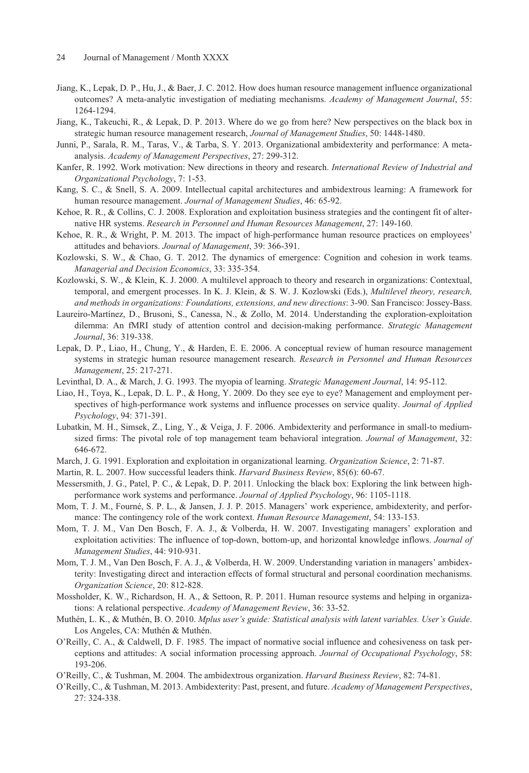- Jiang, K., Lepak, D. P., Hu, J., & Baer, J. C. 2012. How does human resource management influence organizational outcomes? A meta-analytic investigation of mediating mechanisms. *Academy of Management Journal*, 55: 1264-1294.
- Jiang, K., Takeuchi, R., & Lepak, D. P. 2013. Where do we go from here? New perspectives on the black box in strategic human resource management research, *Journal of Management Studies*, 50: 1448-1480.
- Junni, P., Sarala, R. M., Taras, V., & Tarba, S. Y. 2013. Organizational ambidexterity and performance: A metaanalysis. *Academy of Management Perspectives*, 27: 299-312.
- Kanfer, R. 1992. Work motivation: New directions in theory and research. *International Review of Industrial and Organizational Psychology*, 7: 1-53.
- Kang, S. C., & Snell, S. A. 2009. Intellectual capital architectures and ambidextrous learning: A framework for human resource management. *Journal of Management Studies*, 46: 65-92.
- Kehoe, R. R., & Collins, C. J. 2008. Exploration and exploitation business strategies and the contingent fit of alternative HR systems. *Research in Personnel and Human Resources Management*, 27: 149-160.
- Kehoe, R. R., & Wright, P. M. 2013. The impact of high-performance human resource practices on employees' attitudes and behaviors. *Journal of Management*, 39: 366-391.
- Kozlowski, S. W., & Chao, G. T. 2012. The dynamics of emergence: Cognition and cohesion in work teams. *Managerial and Decision Economics*, 33: 335-354.
- Kozlowski, S. W., & Klein, K. J. 2000. A multilevel approach to theory and research in organizations: Contextual, temporal, and emergent processes. In K. J. Klein, & S. W. J. Kozlowski (Eds.), *Multilevel theory, research, and methods in organizations: Foundations, extensions, and new directions*: 3-90. San Francisco: Jossey-Bass.
- Laureiro-Martínez, D., Brusoni, S., Canessa, N., & Zollo, M. 2014. Understanding the exploration-exploitation dilemma: An fMRI study of attention control and decision-making performance. *Strategic Management Journal*, 36: 319-338.
- Lepak, D. P., Liao, H., Chung, Y., & Harden, E. E. 2006. A conceptual review of human resource management systems in strategic human resource management research. *Research in Personnel and Human Resources Management*, 25: 217-271.
- Levinthal, D. A., & March, J. G. 1993. The myopia of learning. *Strategic Management Journal*, 14: 95-112.
- Liao, H., Toya, K., Lepak, D. L. P., & Hong, Y. 2009. Do they see eye to eye? Management and employment perspectives of high-performance work systems and influence processes on service quality. *Journal of Applied Psychology*, 94: 371-391.
- Lubatkin, M. H., Simsek, Z., Ling, Y., & Veiga, J. F. 2006. Ambidexterity and performance in small-to mediumsized firms: The pivotal role of top management team behavioral integration. *Journal of Management*, 32: 646-672.
- March, J. G. 1991. Exploration and exploitation in organizational learning. *Organization Science*, 2: 71-87.
- Martin, R. L. 2007. How successful leaders think. *Harvard Business Review*, 85(6): 60-67.
- Messersmith, J. G., Patel, P. C., & Lepak, D. P. 2011. Unlocking the black box: Exploring the link between highperformance work systems and performance. *Journal of Applied Psychology*, 96: 1105-1118.
- Mom, T. J. M., Fourné, S. P. L., & Jansen, J. J. P. 2015. Managers' work experience, ambidexterity, and performance: The contingency role of the work context. *Human Resource Management*, 54: 133-153.
- Mom, T. J. M., Van Den Bosch, F. A. J., & Volberda, H. W. 2007. Investigating managers' exploration and exploitation activities: The influence of top-down, bottom-up, and horizontal knowledge inflows. *Journal of Management Studies*, 44: 910-931.
- Mom, T. J. M., Van Den Bosch, F. A. J., & Volberda, H. W. 2009. Understanding variation in managers' ambidexterity: Investigating direct and interaction effects of formal structural and personal coordination mechanisms. *Organization Science*, 20: 812-828.
- Mossholder, K. W., Richardson, H. A., & Settoon, R. P. 2011. Human resource systems and helping in organizations: A relational perspective. *Academy of Management Review*, 36: 33-52.
- Muthén, L. K., & Muthén, B. O. 2010. *Mplus user's guide: Statistical analysis with latent variables. User's Guide*. Los Angeles, CA: Muthén & Muthén.
- O'Reilly, C. A., & Caldwell, D. F. 1985. The impact of normative social influence and cohesiveness on task perceptions and attitudes: A social information processing approach. *Journal of Occupational Psychology*, 58: 193-206.
- O'Reilly, C., & Tushman, M. 2004. The ambidextrous organization. *Harvard Business Review*, 82: 74-81.
- O'Reilly, C., & Tushman, M. 2013. Ambidexterity: Past, present, and future. *Academy of Management Perspectives*, 27: 324-338.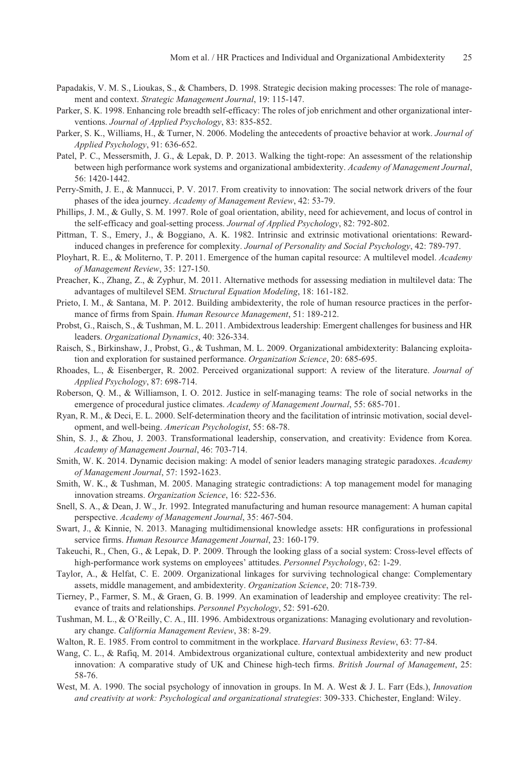- Papadakis, V. M. S., Lioukas, S., & Chambers, D. 1998. Strategic decision making processes: The role of management and context. *Strategic Management Journal*, 19: 115-147.
- Parker, S. K. 1998. Enhancing role breadth self-efficacy: The roles of job enrichment and other organizational interventions. *Journal of Applied Psychology*, 83: 835-852.
- Parker, S. K., Williams, H., & Turner, N. 2006. Modeling the antecedents of proactive behavior at work. *Journal of Applied Psychology*, 91: 636-652.
- Patel, P. C., Messersmith, J. G., & Lepak, D. P. 2013. Walking the tight-rope: An assessment of the relationship between high performance work systems and organizational ambidexterity. *Academy of Management Journal*, 56: 1420-1442.
- Perry-Smith, J. E., & Mannucci, P. V. 2017. From creativity to innovation: The social network drivers of the four phases of the idea journey. *Academy of Management Review*, 42: 53-79.
- Phillips, J. M., & Gully, S. M. 1997. Role of goal orientation, ability, need for achievement, and locus of control in the self-efficacy and goal-setting process. *Journal of Applied Psychology*, 82: 792-802.
- Pittman, T. S., Emery, J., & Boggiano, A. K. 1982. Intrinsic and extrinsic motivational orientations: Rewardinduced changes in preference for complexity. *Journal of Personality and Social Psychology*, 42: 789-797.
- Ployhart, R. E., & Moliterno, T. P. 2011. Emergence of the human capital resource: A multilevel model. *Academy of Management Review*, 35: 127-150.
- Preacher, K., Zhang, Z., & Zyphur, M. 2011. Alternative methods for assessing mediation in multilevel data: The advantages of multilevel SEM. *Structural Equation Modeling*, 18: 161-182.
- Prieto, I. M., & Santana, M. P. 2012. Building ambidexterity, the role of human resource practices in the performance of firms from Spain. *Human Resource Management*, 51: 189-212.
- Probst, G., Raisch, S., & Tushman, M. L. 2011. Ambidextrous leadership: Emergent challenges for business and HR leaders. *Organizational Dynamics*, 40: 326-334.
- Raisch, S., Birkinshaw, J., Probst, G., & Tushman, M. L. 2009. Organizational ambidexterity: Balancing exploitation and exploration for sustained performance. *Organization Science*, 20: 685-695.
- Rhoades, L., & Eisenberger, R. 2002. Perceived organizational support: A review of the literature. *Journal of Applied Psychology*, 87: 698-714.
- Roberson, Q. M., & Williamson, I. O. 2012. Justice in self-managing teams: The role of social networks in the emergence of procedural justice climates. *Academy of Management Journal*, 55: 685-701.
- Ryan, R. M., & Deci, E. L. 2000. Self-determination theory and the facilitation of intrinsic motivation, social development, and well-being. *American Psychologist*, 55: 68-78.
- Shin, S. J., & Zhou, J. 2003. Transformational leadership, conservation, and creativity: Evidence from Korea. *Academy of Management Journal*, 46: 703-714.
- Smith, W. K. 2014. Dynamic decision making: A model of senior leaders managing strategic paradoxes. *Academy of Management Journal*, 57: 1592-1623.
- Smith, W. K., & Tushman, M. 2005. Managing strategic contradictions: A top management model for managing innovation streams. *Organization Science*, 16: 522-536.
- Snell, S. A., & Dean, J. W., Jr. 1992. Integrated manufacturing and human resource management: A human capital perspective. *Academy of Management Journal*, 35: 467-504.
- Swart, J., & Kinnie, N. 2013. Managing multidimensional knowledge assets: HR configurations in professional service firms. *Human Resource Management Journal*, 23: 160-179.
- Takeuchi, R., Chen, G., & Lepak, D. P. 2009. Through the looking glass of a social system: Cross-level effects of high-performance work systems on employees' attitudes. *Personnel Psychology*, 62: 1-29.
- Taylor, A., & Helfat, C. E. 2009. Organizational linkages for surviving technological change: Complementary assets, middle management, and ambidexterity. *Organization Science*, 20: 718-739.
- Tierney, P., Farmer, S. M., & Graen, G. B. 1999. An examination of leadership and employee creativity: The relevance of traits and relationships. *Personnel Psychology*, 52: 591-620.
- Tushman, M. L., & O'Reilly, C. A., III. 1996. Ambidextrous organizations: Managing evolutionary and revolutionary change. *California Management Review*, 38: 8-29.
- Walton, R. E. 1985. From control to commitment in the workplace. *Harvard Business Review*, 63: 77-84.
- Wang, C. L., & Rafiq, M. 2014. Ambidextrous organizational culture, contextual ambidexterity and new product innovation: A comparative study of UK and Chinese high-tech firms. *British Journal of Management*, 25: 58-76.
- West, M. A. 1990. The social psychology of innovation in groups. In M. A. West & J. L. Farr (Eds.), *Innovation and creativity at work: Psychological and organizational strategies*: 309-333. Chichester, England: Wiley.